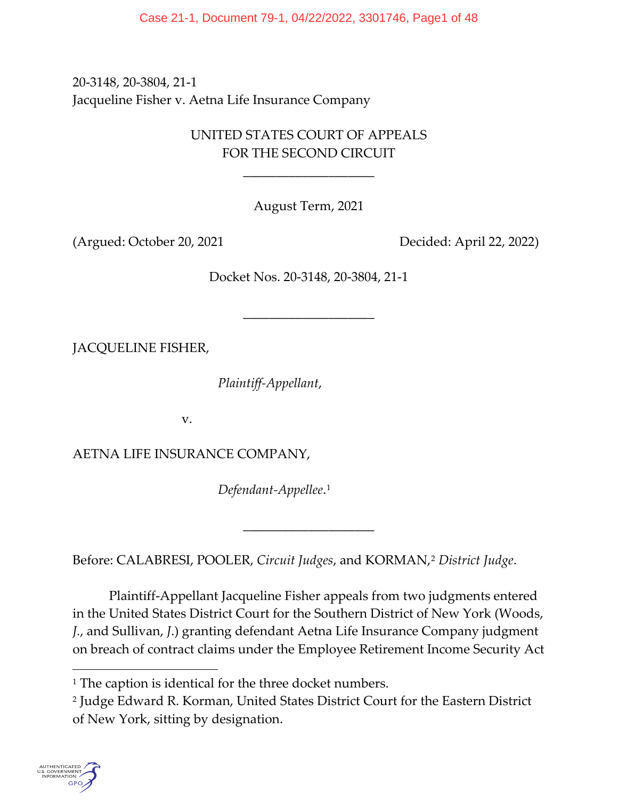Case 21-1, Document 79-1, 04/22/2022, 3301746, Page1 of 48

20-3148, 20-3804, 21-1 Jacqueline Fisher v. Aetna Life Insurance Company

# UNITED STATES COURT OF APPEALS FOR THE SECOND CIRCUIT

\_\_\_\_\_\_\_\_\_\_\_\_\_\_\_\_\_\_\_\_

August Term, 2021

(Argued: October 20, 2021 Decided: April 22, 2022)

Docket Nos. 20-3148, 20-3804, 21-1

\_\_\_\_\_\_\_\_\_\_\_\_\_\_\_\_\_\_\_\_

JACQUELINE FISHER,

*Plaintiff-Appellant*,

v.

AETNA LIFE INSURANCE COMPANY,

*Defendant-Appellee*.[1](#page-0-0)

Before: CALABRESI, POOLER, *Circuit Judges*, and KORMAN,[2](#page-0-1) *District Judge*.

Plaintiff-Appellant Jacqueline Fisher appeals from two judgments entered in the United States District Court for the Southern District of New York (Woods, *J.*, and Sullivan, *J*.) granting defendant Aetna Life Insurance Company judgment on breach of contract claims under the Employee Retirement Income Security Act

\_\_\_\_\_\_\_\_\_\_\_\_\_\_\_\_\_\_\_\_

<span id="page-0-1"></span><span id="page-0-0"></span><sup>2</sup> Judge Edward R. Korman, United States District Court for the Eastern District of New York, sitting by designation.



<sup>&</sup>lt;sup>1</sup> The caption is identical for the three docket numbers.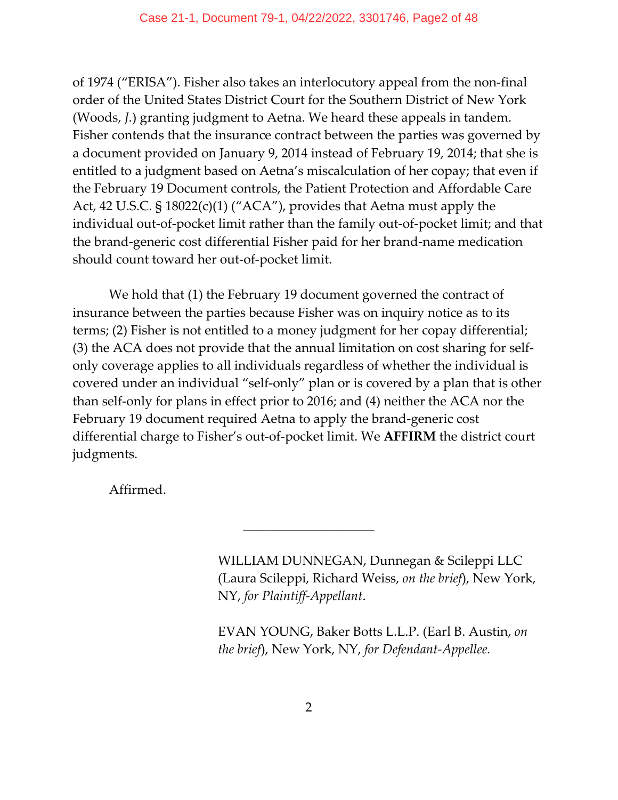of 1974 ("ERISA"). Fisher also takes an interlocutory appeal from the non-final order of the United States District Court for the Southern District of New York (Woods, *J.*) granting judgment to Aetna. We heard these appeals in tandem. Fisher contends that the insurance contract between the parties was governed by a document provided on January 9, 2014 instead of February 19, 2014; that she is entitled to a judgment based on Aetna's miscalculation of her copay; that even if the February 19 Document controls, the Patient Protection and Affordable Care Act, 42 U.S.C. § 18022(c)(1) ("ACA"), provides that Aetna must apply the individual out-of-pocket limit rather than the family out-of-pocket limit; and that the brand-generic cost differential Fisher paid for her brand-name medication should count toward her out-of-pocket limit.

We hold that (1) the February 19 document governed the contract of insurance between the parties because Fisher was on inquiry notice as to its terms; (2) Fisher is not entitled to a money judgment for her copay differential; (3) the ACA does not provide that the annual limitation on cost sharing for selfonly coverage applies to all individuals regardless of whether the individual is covered under an individual "self-only" plan or is covered by a plan that is other than self-only for plans in effect prior to 2016; and (4) neither the ACA nor the February 19 document required Aetna to apply the brand-generic cost differential charge to Fisher's out-of-pocket limit. We **AFFIRM** the district court judgments.

\_\_\_\_\_\_\_\_\_\_\_\_\_\_\_\_\_\_\_\_

Affirmed.

WILLIAM DUNNEGAN, Dunnegan & Scileppi LLC (Laura Scileppi, Richard Weiss, *on the brief*), New York, NY, *for Plaintiff-Appellant*.

EVAN YOUNG, Baker Botts L.L.P. (Earl B. Austin, *on the brief*), New York, NY, *for Defendant-Appellee.*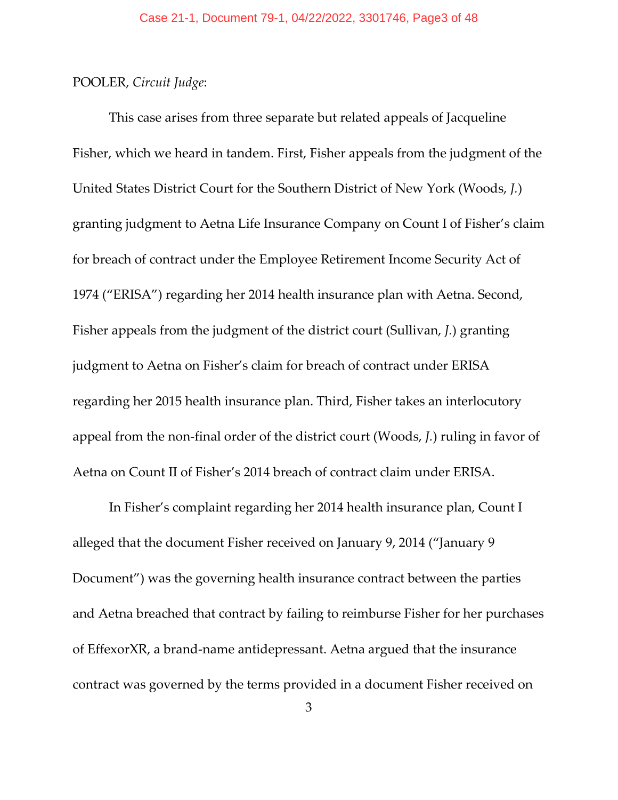## POOLER, *Circuit Judge*:

This case arises from three separate but related appeals of Jacqueline Fisher, which we heard in tandem. First, Fisher appeals from the judgment of the United States District Court for the Southern District of New York (Woods, *J.*) granting judgment to Aetna Life Insurance Company on Count I of Fisher's claim for breach of contract under the Employee Retirement Income Security Act of 1974 ("ERISA") regarding her 2014 health insurance plan with Aetna. Second, Fisher appeals from the judgment of the district court (Sullivan, *J.*) granting judgment to Aetna on Fisher's claim for breach of contract under ERISA regarding her 2015 health insurance plan. Third, Fisher takes an interlocutory appeal from the non-final order of the district court (Woods, *J.*) ruling in favor of Aetna on Count II of Fisher's 2014 breach of contract claim under ERISA.

In Fisher's complaint regarding her 2014 health insurance plan, Count I alleged that the document Fisher received on January 9, 2014 ("January 9 Document") was the governing health insurance contract between the parties and Aetna breached that contract by failing to reimburse Fisher for her purchases of EffexorXR, a brand-name antidepressant. Aetna argued that the insurance contract was governed by the terms provided in a document Fisher received on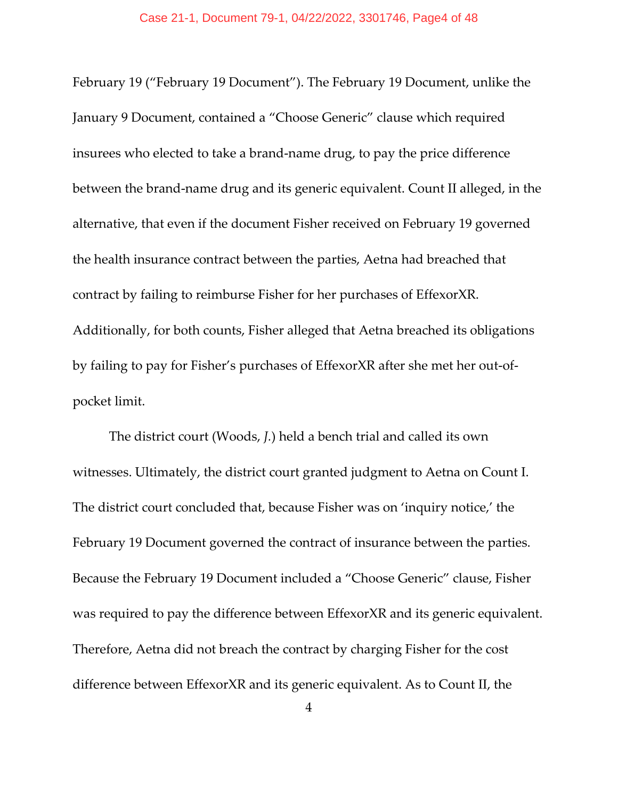February 19 ("February 19 Document"). The February 19 Document, unlike the January 9 Document, contained a "Choose Generic" clause which required insurees who elected to take a brand-name drug, to pay the price difference between the brand-name drug and its generic equivalent. Count II alleged, in the alternative, that even if the document Fisher received on February 19 governed the health insurance contract between the parties, Aetna had breached that contract by failing to reimburse Fisher for her purchases of EffexorXR. Additionally, for both counts, Fisher alleged that Aetna breached its obligations by failing to pay for Fisher's purchases of EffexorXR after she met her out-ofpocket limit.

The district court (Woods, *J.*) held a bench trial and called its own witnesses. Ultimately, the district court granted judgment to Aetna on Count I. The district court concluded that, because Fisher was on 'inquiry notice,' the February 19 Document governed the contract of insurance between the parties. Because the February 19 Document included a "Choose Generic" clause, Fisher was required to pay the difference between EffexorXR and its generic equivalent. Therefore, Aetna did not breach the contract by charging Fisher for the cost difference between EffexorXR and its generic equivalent. As to Count II, the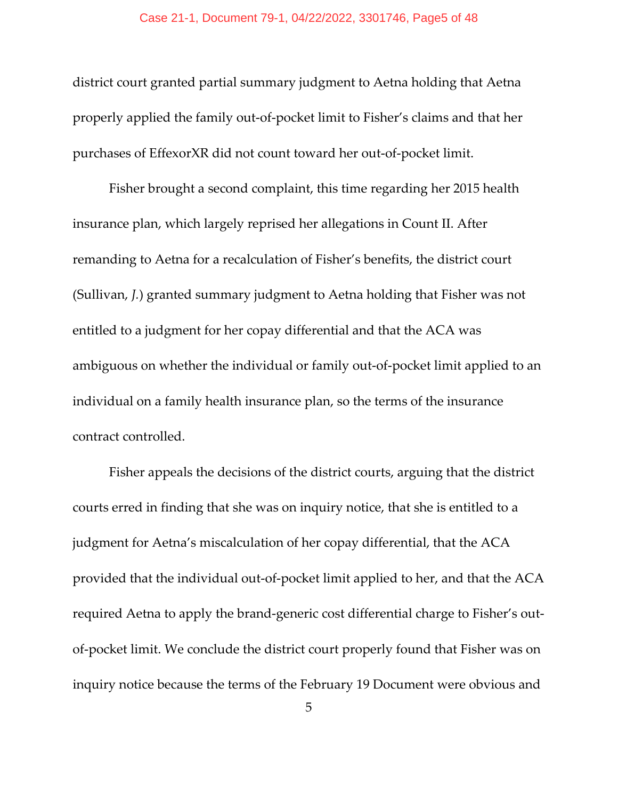district court granted partial summary judgment to Aetna holding that Aetna properly applied the family out-of-pocket limit to Fisher's claims and that her purchases of EffexorXR did not count toward her out-of-pocket limit.

Fisher brought a second complaint, this time regarding her 2015 health insurance plan, which largely reprised her allegations in Count II. After remanding to Aetna for a recalculation of Fisher's benefits, the district court (Sullivan, *J.*) granted summary judgment to Aetna holding that Fisher was not entitled to a judgment for her copay differential and that the ACA was ambiguous on whether the individual or family out-of-pocket limit applied to an individual on a family health insurance plan, so the terms of the insurance contract controlled.

Fisher appeals the decisions of the district courts, arguing that the district courts erred in finding that she was on inquiry notice, that she is entitled to a judgment for Aetna's miscalculation of her copay differential, that the ACA provided that the individual out-of-pocket limit applied to her, and that the ACA required Aetna to apply the brand-generic cost differential charge to Fisher's outof-pocket limit. We conclude the district court properly found that Fisher was on inquiry notice because the terms of the February 19 Document were obvious and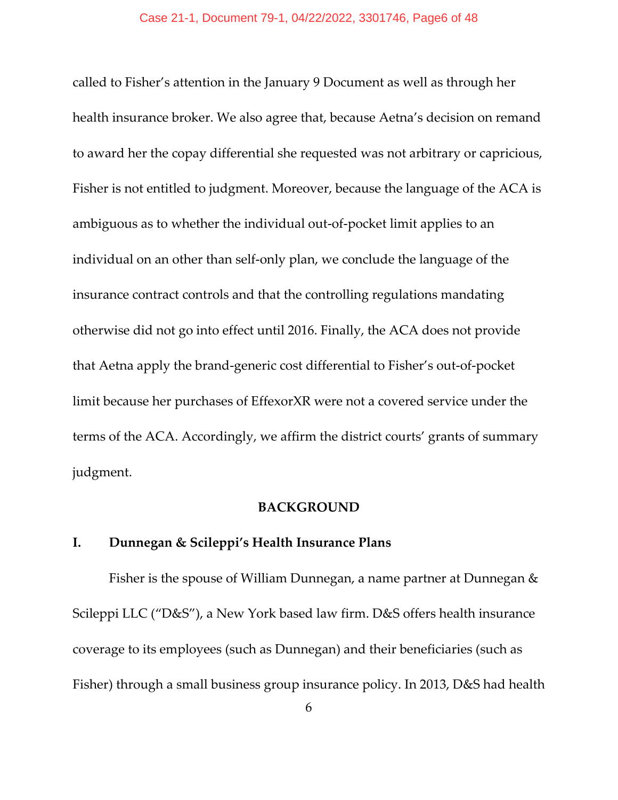called to Fisher's attention in the January 9 Document as well as through her health insurance broker. We also agree that, because Aetna's decision on remand to award her the copay differential she requested was not arbitrary or capricious, Fisher is not entitled to judgment. Moreover, because the language of the ACA is ambiguous as to whether the individual out-of-pocket limit applies to an individual on an other than self-only plan, we conclude the language of the insurance contract controls and that the controlling regulations mandating otherwise did not go into effect until 2016. Finally, the ACA does not provide that Aetna apply the brand-generic cost differential to Fisher's out-of-pocket limit because her purchases of EffexorXR were not a covered service under the terms of the ACA. Accordingly, we affirm the district courts' grants of summary judgment.

### **BACKGROUND**

### **I. Dunnegan & Scileppi's Health Insurance Plans**

Fisher is the spouse of William Dunnegan, a name partner at Dunnegan & Scileppi LLC ("D&S"), a New York based law firm. D&S offers health insurance coverage to its employees (such as Dunnegan) and their beneficiaries (such as Fisher) through a small business group insurance policy. In 2013, D&S had health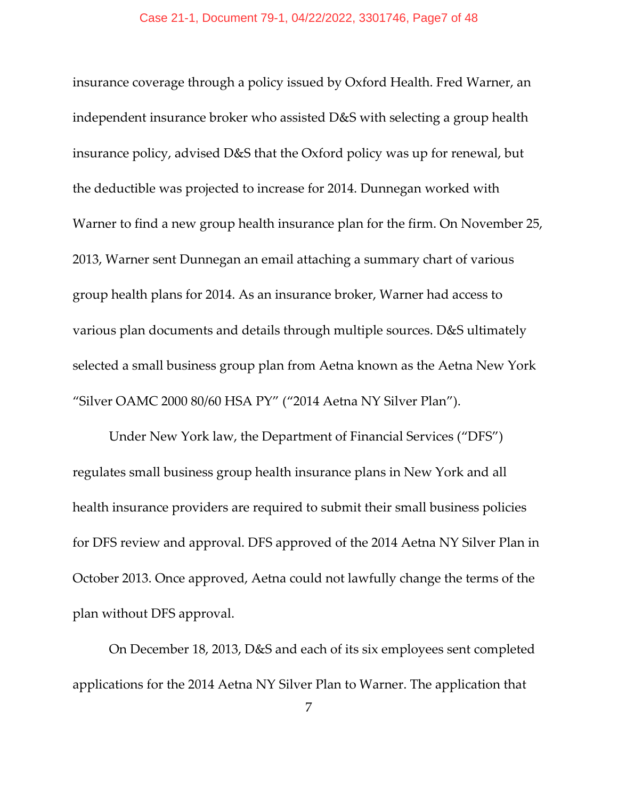insurance coverage through a policy issued by Oxford Health. Fred Warner, an independent insurance broker who assisted D&S with selecting a group health insurance policy, advised D&S that the Oxford policy was up for renewal, but the deductible was projected to increase for 2014. Dunnegan worked with Warner to find a new group health insurance plan for the firm. On November 25, 2013, Warner sent Dunnegan an email attaching a summary chart of various group health plans for 2014. As an insurance broker, Warner had access to various plan documents and details through multiple sources. D&S ultimately selected a small business group plan from Aetna known as the Aetna New York "Silver OAMC 2000 80/60 HSA PY" ("2014 Aetna NY Silver Plan").

Under New York law, the Department of Financial Services ("DFS") regulates small business group health insurance plans in New York and all health insurance providers are required to submit their small business policies for DFS review and approval. DFS approved of the 2014 Aetna NY Silver Plan in October 2013. Once approved, Aetna could not lawfully change the terms of the plan without DFS approval.

On December 18, 2013, D&S and each of its six employees sent completed applications for the 2014 Aetna NY Silver Plan to Warner. The application that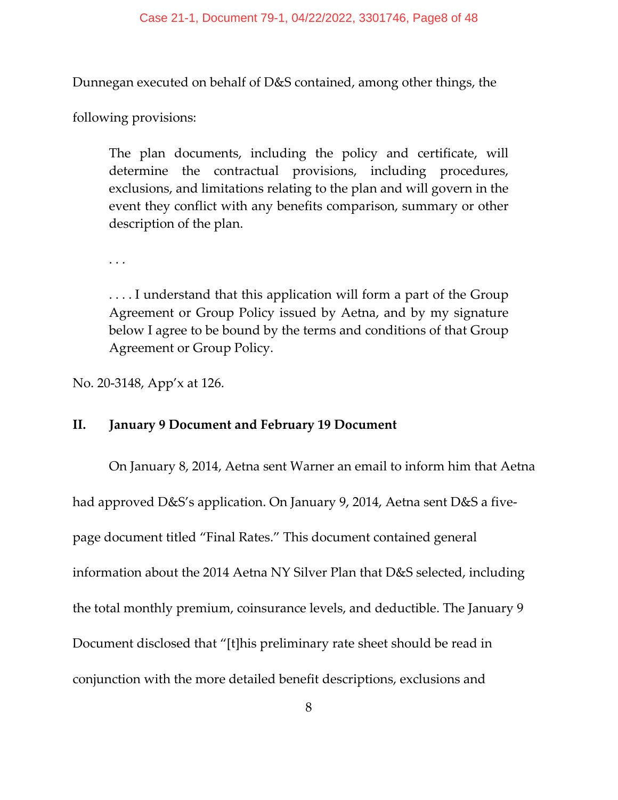Dunnegan executed on behalf of D&S contained, among other things, the

following provisions:

The plan documents, including the policy and certificate, will determine the contractual provisions, including procedures, exclusions, and limitations relating to the plan and will govern in the event they conflict with any benefits comparison, summary or other description of the plan.

. . .

. . . . I understand that this application will form a part of the Group Agreement or Group Policy issued by Aetna, and by my signature below I agree to be bound by the terms and conditions of that Group Agreement or Group Policy.

No. 20-3148, App'x at 126.

## **II. January 9 Document and February 19 Document**

On January 8, 2014, Aetna sent Warner an email to inform him that Aetna had approved D&S's application. On January 9, 2014, Aetna sent D&S a fivepage document titled "Final Rates." This document contained general information about the 2014 Aetna NY Silver Plan that D&S selected, including the total monthly premium, coinsurance levels, and deductible. The January 9 Document disclosed that "[t]his preliminary rate sheet should be read in conjunction with the more detailed benefit descriptions, exclusions and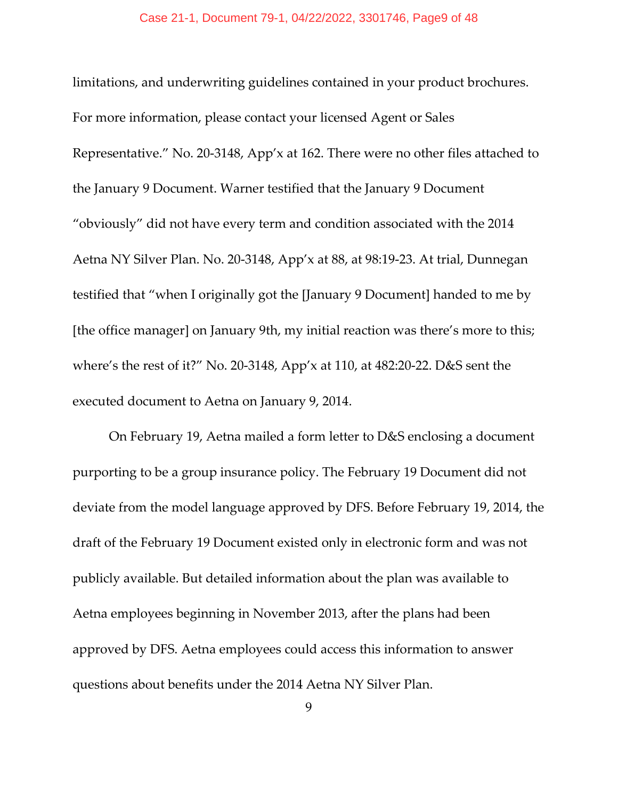limitations, and underwriting guidelines contained in your product brochures. For more information, please contact your licensed Agent or Sales Representative." No. 20-3148, App'x at 162. There were no other files attached to the January 9 Document. Warner testified that the January 9 Document "obviously" did not have every term and condition associated with the 2014 Aetna NY Silver Plan. No. 20-3148, App'x at 88, at 98:19-23. At trial, Dunnegan testified that "when I originally got the [January 9 Document] handed to me by [the office manager] on January 9th, my initial reaction was there's more to this; where's the rest of it?" No. 20-3148, App'x at 110, at 482:20-22. D&S sent the executed document to Aetna on January 9, 2014.

On February 19, Aetna mailed a form letter to D&S enclosing a document purporting to be a group insurance policy. The February 19 Document did not deviate from the model language approved by DFS. Before February 19, 2014, the draft of the February 19 Document existed only in electronic form and was not publicly available. But detailed information about the plan was available to Aetna employees beginning in November 2013, after the plans had been approved by DFS. Aetna employees could access this information to answer questions about benefits under the 2014 Aetna NY Silver Plan.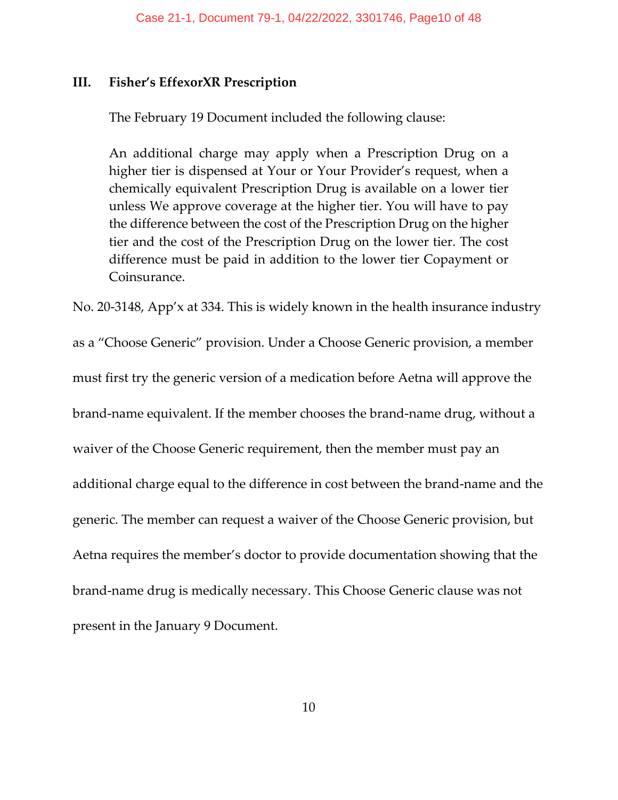## **III. Fisher's EffexorXR Prescription**

The February 19 Document included the following clause:

An additional charge may apply when a Prescription Drug on a higher tier is dispensed at Your or Your Provider's request, when a chemically equivalent Prescription Drug is available on a lower tier unless We approve coverage at the higher tier. You will have to pay the difference between the cost of the Prescription Drug on the higher tier and the cost of the Prescription Drug on the lower tier. The cost difference must be paid in addition to the lower tier Copayment or Coinsurance.

No. 20-3148, App'x at 334. This is widely known in the health insurance industry as a "Choose Generic" provision. Under a Choose Generic provision, a member must first try the generic version of a medication before Aetna will approve the brand-name equivalent. If the member chooses the brand-name drug, without a waiver of the Choose Generic requirement, then the member must pay an additional charge equal to the difference in cost between the brand-name and the generic. The member can request a waiver of the Choose Generic provision, but Aetna requires the member's doctor to provide documentation showing that the brand-name drug is medically necessary. This Choose Generic clause was not present in the January 9 Document.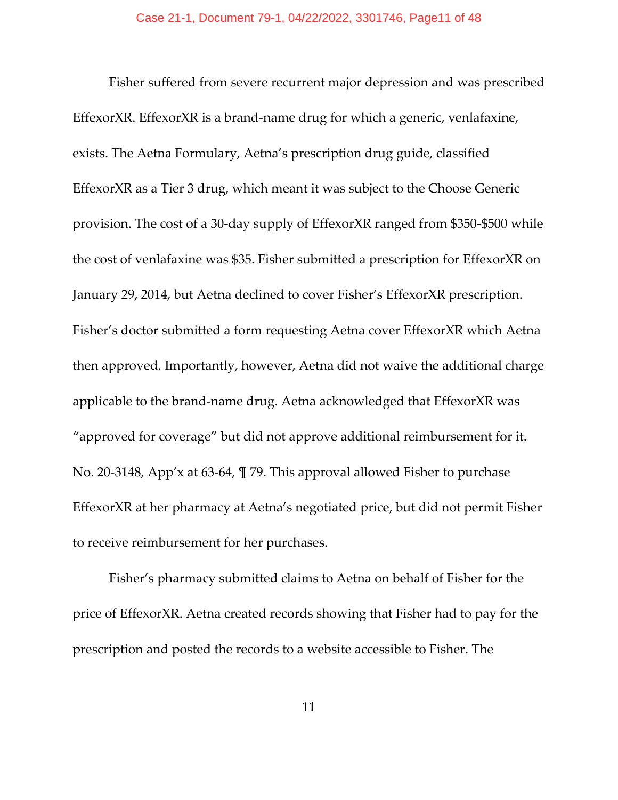Fisher suffered from severe recurrent major depression and was prescribed EffexorXR. EffexorXR is a brand-name drug for which a generic, venlafaxine, exists. The Aetna Formulary, Aetna's prescription drug guide, classified EffexorXR as a Tier 3 drug, which meant it was subject to the Choose Generic provision. The cost of a 30-day supply of EffexorXR ranged from \$350-\$500 while the cost of venlafaxine was \$35. Fisher submitted a prescription for EffexorXR on January 29, 2014, but Aetna declined to cover Fisher's EffexorXR prescription. Fisher's doctor submitted a form requesting Aetna cover EffexorXR which Aetna then approved. Importantly, however, Aetna did not waive the additional charge applicable to the brand-name drug. Aetna acknowledged that EffexorXR was "approved for coverage" but did not approve additional reimbursement for it. No. 20-3148, App'x at 63-64, ¶ 79. This approval allowed Fisher to purchase EffexorXR at her pharmacy at Aetna's negotiated price, but did not permit Fisher to receive reimbursement for her purchases.

Fisher's pharmacy submitted claims to Aetna on behalf of Fisher for the price of EffexorXR. Aetna created records showing that Fisher had to pay for the prescription and posted the records to a website accessible to Fisher. The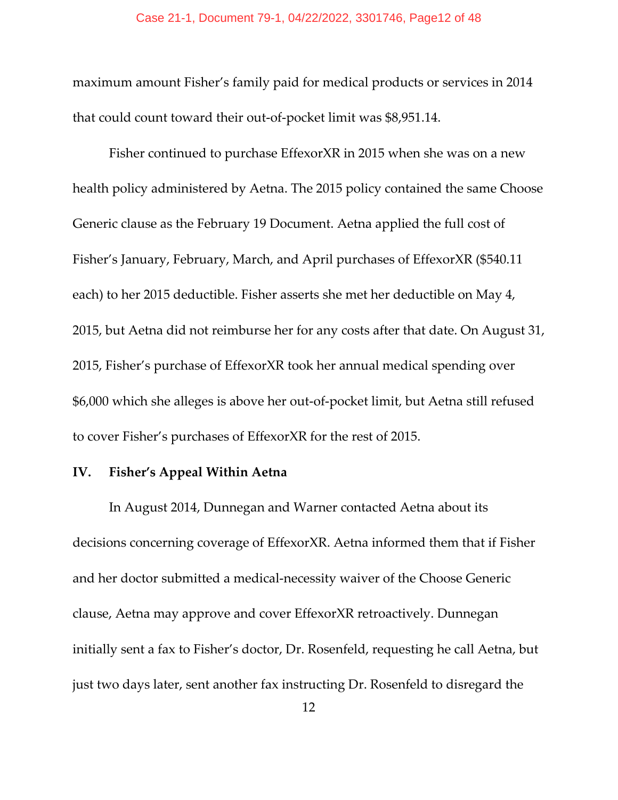maximum amount Fisher's family paid for medical products or services in 2014 that could count toward their out-of-pocket limit was \$8,951.14.

Fisher continued to purchase EffexorXR in 2015 when she was on a new health policy administered by Aetna. The 2015 policy contained the same Choose Generic clause as the February 19 Document. Aetna applied the full cost of Fisher's January, February, March, and April purchases of EffexorXR (\$540.11 each) to her 2015 deductible. Fisher asserts she met her deductible on May 4, 2015, but Aetna did not reimburse her for any costs after that date. On August 31, 2015, Fisher's purchase of EffexorXR took her annual medical spending over \$6,000 which she alleges is above her out-of-pocket limit, but Aetna still refused to cover Fisher's purchases of EffexorXR for the rest of 2015.

## **IV. Fisher's Appeal Within Aetna**

In August 2014, Dunnegan and Warner contacted Aetna about its decisions concerning coverage of EffexorXR. Aetna informed them that if Fisher and her doctor submitted a medical-necessity waiver of the Choose Generic clause, Aetna may approve and cover EffexorXR retroactively. Dunnegan initially sent a fax to Fisher's doctor, Dr. Rosenfeld, requesting he call Aetna, but just two days later, sent another fax instructing Dr. Rosenfeld to disregard the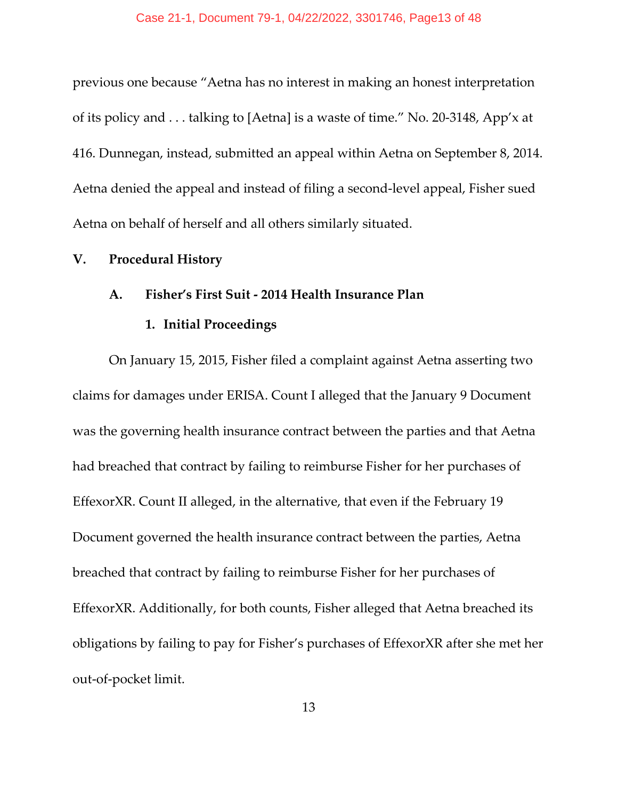previous one because "Aetna has no interest in making an honest interpretation of its policy and . . . talking to [Aetna] is a waste of time." No. 20-3148, App'x at 416. Dunnegan, instead, submitted an appeal within Aetna on September 8, 2014. Aetna denied the appeal and instead of filing a second-level appeal, Fisher sued Aetna on behalf of herself and all others similarly situated.

#### **V. Procedural History**

## **A. Fisher's First Suit - 2014 Health Insurance Plan**

#### **1. Initial Proceedings**

On January 15, 2015, Fisher filed a complaint against Aetna asserting two claims for damages under ERISA. Count I alleged that the January 9 Document was the governing health insurance contract between the parties and that Aetna had breached that contract by failing to reimburse Fisher for her purchases of EffexorXR. Count II alleged, in the alternative, that even if the February 19 Document governed the health insurance contract between the parties, Aetna breached that contract by failing to reimburse Fisher for her purchases of EffexorXR. Additionally, for both counts, Fisher alleged that Aetna breached its obligations by failing to pay for Fisher's purchases of EffexorXR after she met her out-of-pocket limit.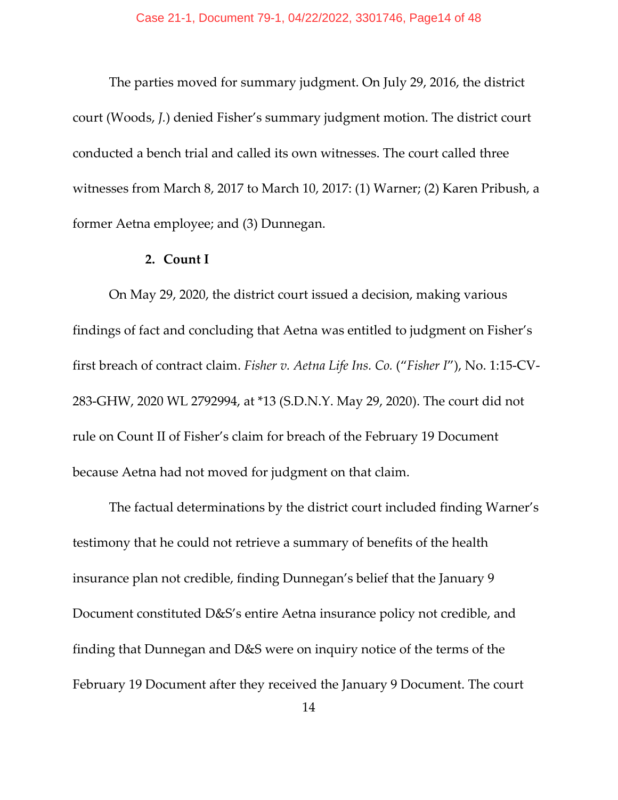The parties moved for summary judgment. On July 29, 2016, the district court (Woods, *J.*) denied Fisher's summary judgment motion. The district court conducted a bench trial and called its own witnesses. The court called three witnesses from March 8, 2017 to March 10, 2017: (1) Warner; (2) Karen Pribush, a former Aetna employee; and (3) Dunnegan.

#### **2. Count I**

On May 29, 2020, the district court issued a decision, making various findings of fact and concluding that Aetna was entitled to judgment on Fisher's first breach of contract claim. *Fisher v. Aetna Life Ins. Co.* ("*Fisher I*"), No. 1:15-CV-283-GHW, 2020 WL 2792994, at \*13 (S.D.N.Y. May 29, 2020). The court did not rule on Count II of Fisher's claim for breach of the February 19 Document because Aetna had not moved for judgment on that claim.

The factual determinations by the district court included finding Warner's testimony that he could not retrieve a summary of benefits of the health insurance plan not credible, finding Dunnegan's belief that the January 9 Document constituted D&S's entire Aetna insurance policy not credible, and finding that Dunnegan and D&S were on inquiry notice of the terms of the February 19 Document after they received the January 9 Document. The court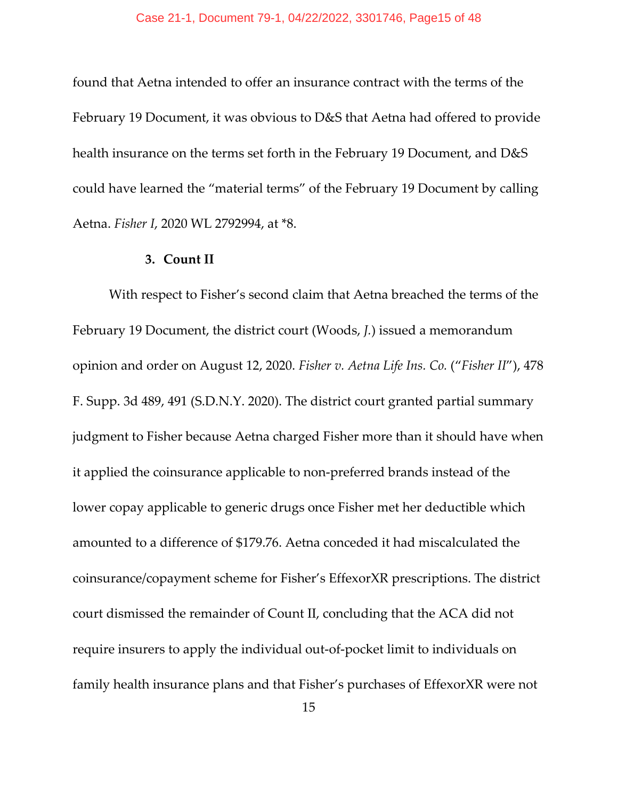found that Aetna intended to offer an insurance contract with the terms of the February 19 Document, it was obvious to D&S that Aetna had offered to provide health insurance on the terms set forth in the February 19 Document, and D&S could have learned the "material terms" of the February 19 Document by calling Aetna. *Fisher I*, 2020 WL 2792994, at \*8.

#### **3. Count II**

With respect to Fisher's second claim that Aetna breached the terms of the February 19 Document, the district court (Woods, *J.*) issued a memorandum opinion and order on August 12, 2020. *Fisher v. Aetna Life Ins. Co.* ("*Fisher II*"), 478 F. Supp. 3d 489, 491 (S.D.N.Y. 2020). The district court granted partial summary judgment to Fisher because Aetna charged Fisher more than it should have when it applied the coinsurance applicable to non-preferred brands instead of the lower copay applicable to generic drugs once Fisher met her deductible which amounted to a difference of \$179.76. Aetna conceded it had miscalculated the coinsurance/copayment scheme for Fisher's EffexorXR prescriptions. The district court dismissed the remainder of Count II, concluding that the ACA did not require insurers to apply the individual out-of-pocket limit to individuals on family health insurance plans and that Fisher's purchases of EffexorXR were not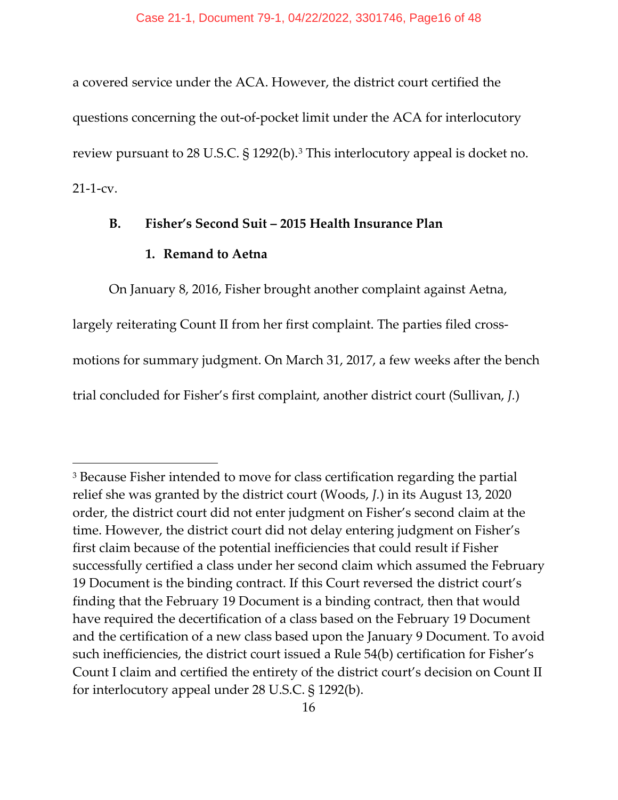a covered service under the ACA. However, the district court certified the questions concerning the out-of-pocket limit under the ACA for interlocutory review pursuant to 28 U.S.C. § 1292(b).<sup>[3](#page-15-0)</sup> This interlocutory appeal is docket no. 21-1-cv.

## **B. Fisher's Second Suit – 2015 Health Insurance Plan**

#### **1. Remand to Aetna**

On January 8, 2016, Fisher brought another complaint against Aetna,

largely reiterating Count II from her first complaint. The parties filed cross-

motions for summary judgment. On March 31, 2017, a few weeks after the bench

trial concluded for Fisher's first complaint, another district court (Sullivan, *J.*)

<span id="page-15-0"></span><sup>&</sup>lt;sup>3</sup> Because Fisher intended to move for class certification regarding the partial relief she was granted by the district court (Woods, *J.*) in its August 13, 2020 order, the district court did not enter judgment on Fisher's second claim at the time. However, the district court did not delay entering judgment on Fisher's first claim because of the potential inefficiencies that could result if Fisher successfully certified a class under her second claim which assumed the February 19 Document is the binding contract. If this Court reversed the district court's finding that the February 19 Document is a binding contract, then that would have required the decertification of a class based on the February 19 Document and the certification of a new class based upon the January 9 Document. To avoid such inefficiencies, the district court issued a Rule 54(b) certification for Fisher's Count I claim and certified the entirety of the district court's decision on Count II for interlocutory appeal under 28 U.S.C. § 1292(b).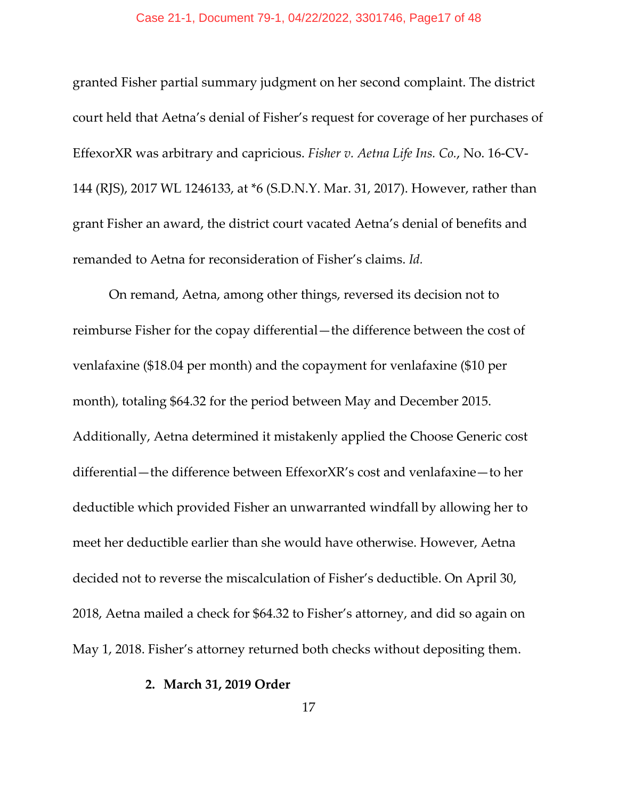#### Case 21-1, Document 79-1, 04/22/2022, 3301746, Page17 of 48

granted Fisher partial summary judgment on her second complaint. The district court held that Aetna's denial of Fisher's request for coverage of her purchases of EffexorXR was arbitrary and capricious. *Fisher v. Aetna Life Ins. Co.*, No. 16-CV-144 (RJS), 2017 WL 1246133, at \*6 (S.D.N.Y. Mar. 31, 2017). However, rather than grant Fisher an award, the district court vacated Aetna's denial of benefits and remanded to Aetna for reconsideration of Fisher's claims. *Id.*

On remand, Aetna, among other things, reversed its decision not to reimburse Fisher for the copay differential—the difference between the cost of venlafaxine (\$18.04 per month) and the copayment for venlafaxine (\$10 per month), totaling \$64.32 for the period between May and December 2015. Additionally, Aetna determined it mistakenly applied the Choose Generic cost differential—the difference between EffexorXR's cost and venlafaxine—to her deductible which provided Fisher an unwarranted windfall by allowing her to meet her deductible earlier than she would have otherwise. However, Aetna decided not to reverse the miscalculation of Fisher's deductible. On April 30, 2018, Aetna mailed a check for \$64.32 to Fisher's attorney, and did so again on May 1, 2018. Fisher's attorney returned both checks without depositing them.

### **2. March 31, 2019 Order**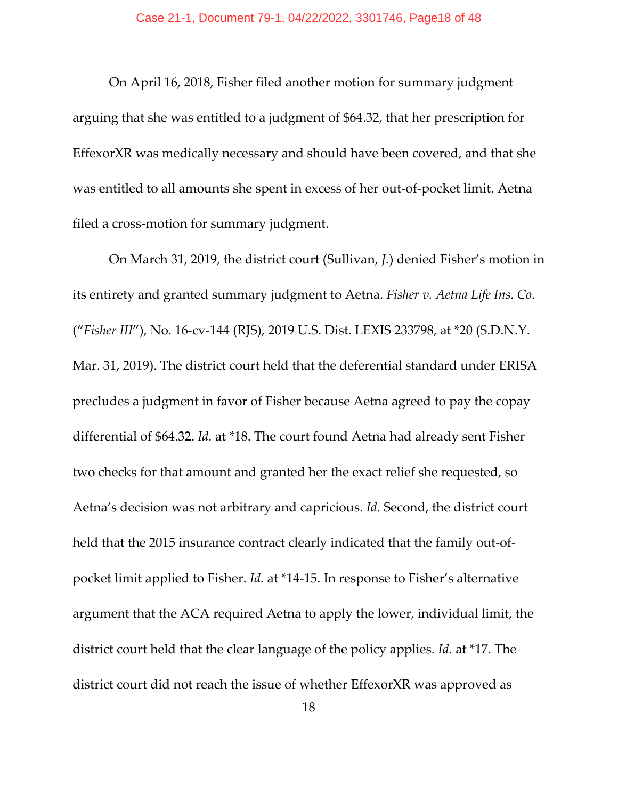On April 16, 2018, Fisher filed another motion for summary judgment arguing that she was entitled to a judgment of \$64.32, that her prescription for EffexorXR was medically necessary and should have been covered, and that she was entitled to all amounts she spent in excess of her out-of-pocket limit. Aetna filed a cross-motion for summary judgment.

On March 31, 2019, the district court (Sullivan, *J.*) denied Fisher's motion in its entirety and granted summary judgment to Aetna. *Fisher v. Aetna Life Ins. Co.* ("*Fisher III*"), No. 16-cv-144 (RJS), 2019 U.S. Dist. LEXIS 233798, at \*20 (S.D.N.Y. Mar. 31, 2019). The district court held that the deferential standard under ERISA precludes a judgment in favor of Fisher because Aetna agreed to pay the copay differential of \$64.32. *Id.* at \*18. The court found Aetna had already sent Fisher two checks for that amount and granted her the exact relief she requested, so Aetna's decision was not arbitrary and capricious. *Id.* Second, the district court held that the 2015 insurance contract clearly indicated that the family out-ofpocket limit applied to Fisher. *Id.* at \*14-15. In response to Fisher's alternative argument that the ACA required Aetna to apply the lower, individual limit, the district court held that the clear language of the policy applies. *Id.* at \*17. The district court did not reach the issue of whether EffexorXR was approved as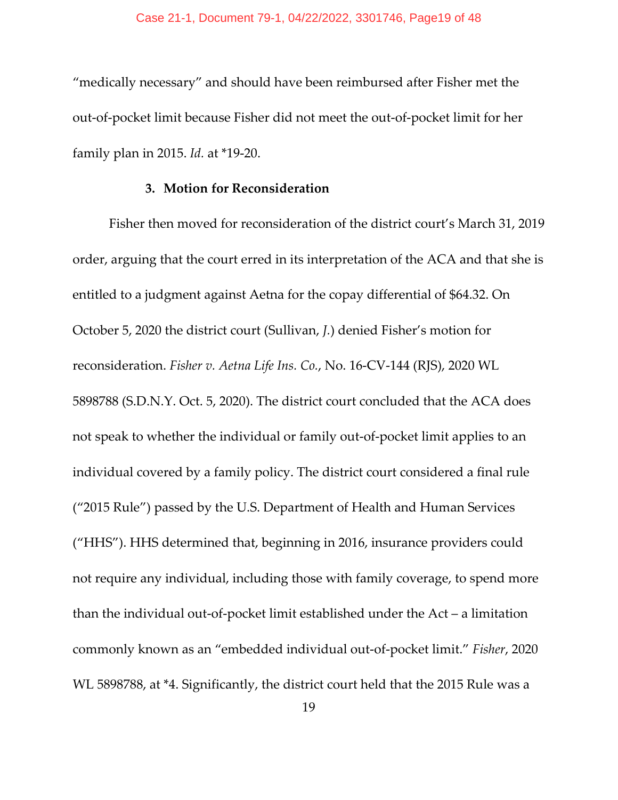"medically necessary" and should have been reimbursed after Fisher met the out-of-pocket limit because Fisher did not meet the out-of-pocket limit for her family plan in 2015. *Id.* at \*19-20.

## **3. Motion for Reconsideration**

Fisher then moved for reconsideration of the district court's March 31, 2019 order, arguing that the court erred in its interpretation of the ACA and that she is entitled to a judgment against Aetna for the copay differential of \$64.32. On October 5, 2020 the district court (Sullivan, *J.*) denied Fisher's motion for reconsideration. *Fisher v. Aetna Life Ins. Co.*, No. 16-CV-144 (RJS), 2020 WL 5898788 (S.D.N.Y. Oct. 5, 2020). The district court concluded that the ACA does not speak to whether the individual or family out-of-pocket limit applies to an individual covered by a family policy. The district court considered a final rule ("2015 Rule") passed by the U.S. Department of Health and Human Services ("HHS"). HHS determined that, beginning in 2016, insurance providers could not require any individual, including those with family coverage, to spend more than the individual out-of-pocket limit established under the Act – a limitation commonly known as an "embedded individual out-of-pocket limit." *Fisher*, 2020 WL 5898788, at \*4. Significantly, the district court held that the 2015 Rule was a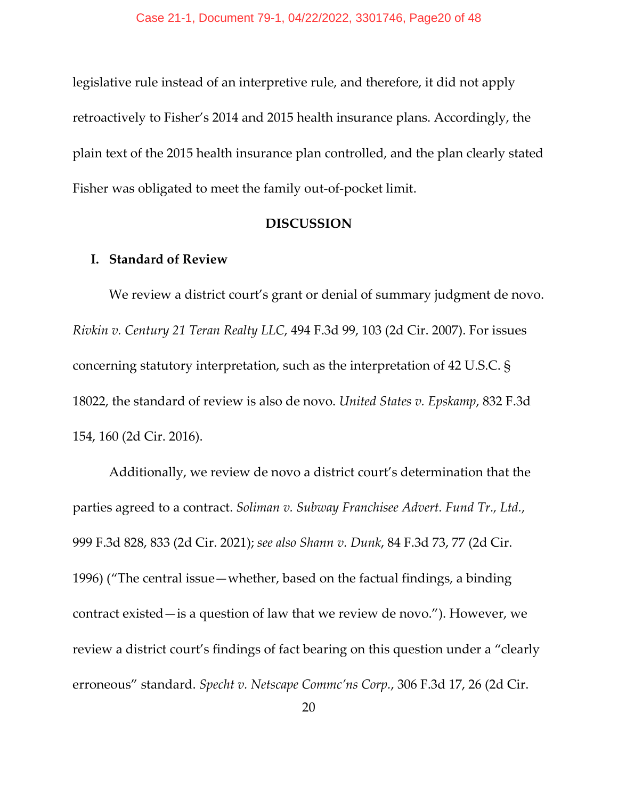legislative rule instead of an interpretive rule, and therefore, it did not apply retroactively to Fisher's 2014 and 2015 health insurance plans. Accordingly, the plain text of the 2015 health insurance plan controlled, and the plan clearly stated Fisher was obligated to meet the family out-of-pocket limit.

### **DISCUSSION**

### **I. Standard of Review**

We review a district court's grant or denial of summary judgment de novo. *Rivkin v. Century 21 Teran Realty LLC*, 494 F.3d 99, 103 (2d Cir. 2007). For issues concerning statutory interpretation, such as the interpretation of 42 U.S.C. § 18022, the standard of review is also de novo. *United States v. Epskamp*, 832 F.3d 154, 160 (2d Cir. 2016).

Additionally, we review de novo a district court's determination that the parties agreed to a contract. *Soliman v. Subway Franchisee Advert. Fund Tr., Ltd.*, 999 F.3d 828, 833 (2d Cir. 2021); *see also Shann v. Dunk*, 84 F.3d 73, 77 (2d Cir. 1996) ("The central issue—whether, based on the factual findings, a binding contract existed—is a question of law that we review de novo."). However, we review a district court's findings of fact bearing on this question under a "clearly erroneous" standard. *Specht v. Netscape Commc'ns Corp.*, 306 F.3d 17, 26 (2d Cir.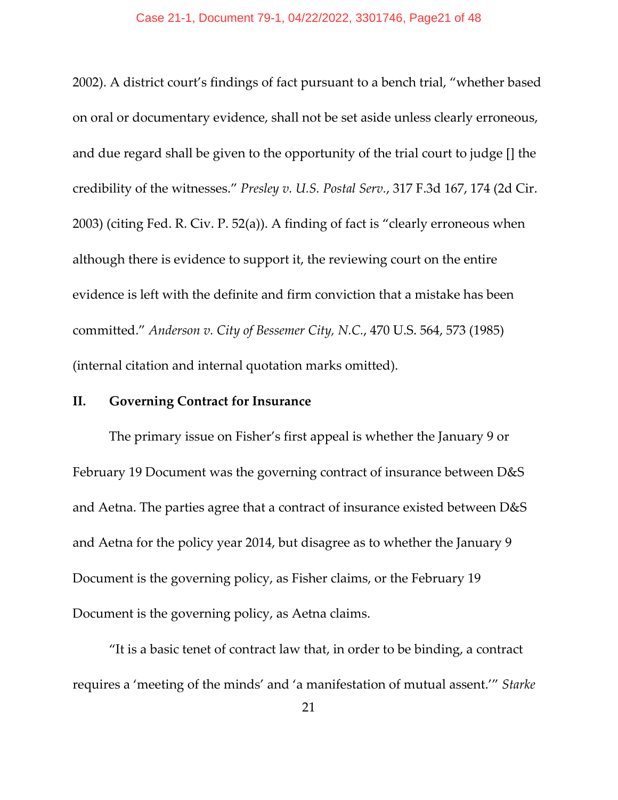2002). A district court's findings of fact pursuant to a bench trial, "whether based on oral or documentary evidence, shall not be set aside unless clearly erroneous, and due regard shall be given to the opportunity of the trial court to judge [] the credibility of the witnesses." *Presley v. U.S. Postal Serv.*, 317 F.3d 167, 174 (2d Cir. 2003) (citing Fed. R. Civ. P. 52(a)). A finding of fact is "clearly erroneous when although there is evidence to support it, the reviewing court on the entire evidence is left with the definite and firm conviction that a mistake has been committed." *Anderson v. City of Bessemer City, N.C.*, 470 U.S. 564, 573 (1985) (internal citation and internal quotation marks omitted).

## **II. Governing Contract for Insurance**

The primary issue on Fisher's first appeal is whether the January 9 or February 19 Document was the governing contract of insurance between D&S and Aetna. The parties agree that a contract of insurance existed between D&S and Aetna for the policy year 2014, but disagree as to whether the January 9 Document is the governing policy, as Fisher claims, or the February 19 Document is the governing policy, as Aetna claims.

"It is a basic tenet of contract law that, in order to be binding, a contract requires a 'meeting of the minds' and 'a manifestation of mutual assent.'" *Starke*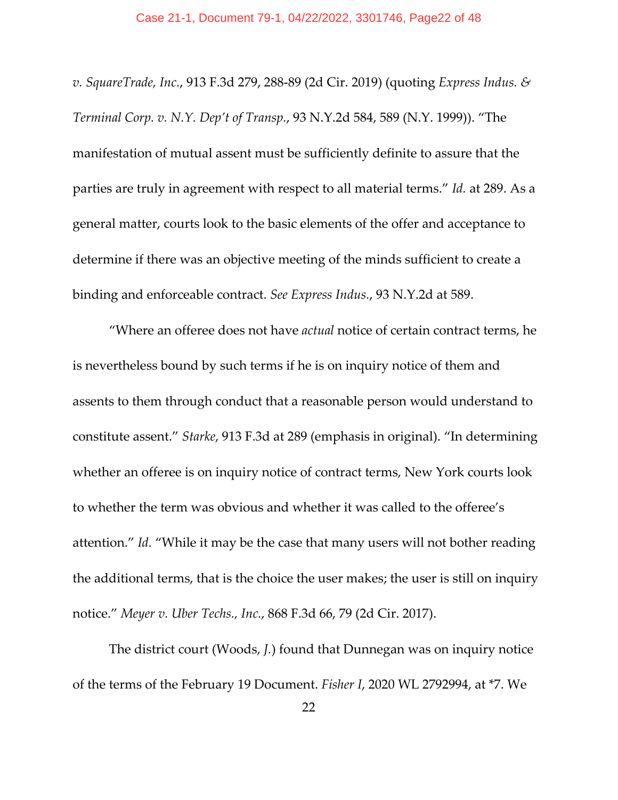*v. SquareTrade, Inc.*, 913 F.3d 279, 288-89 (2d Cir. 2019) (quoting *Express Indus. & Terminal Corp. v. N.Y. Dep't of Transp.*, 93 N.Y.2d 584, 589 (N.Y. 1999)). "The manifestation of mutual assent must be sufficiently definite to assure that the parties are truly in agreement with respect to all material terms." *Id.* at 289. As a general matter, courts look to the basic elements of the offer and acceptance to determine if there was an objective meeting of the minds sufficient to create a binding and enforceable contract. *See Express Indus.*, 93 N.Y.2d at 589.

"Where an offeree does not have *actual* notice of certain contract terms, he is nevertheless bound by such terms if he is on inquiry notice of them and assents to them through conduct that a reasonable person would understand to constitute assent." *Starke*, 913 F.3d at 289 (emphasis in original). "In determining whether an offeree is on inquiry notice of contract terms, New York courts look to whether the term was obvious and whether it was called to the offeree's attention." *Id.* "While it may be the case that many users will not bother reading the additional terms, that is the choice the user makes; the user is still on inquiry notice." *Meyer v. Uber Techs., Inc.*, 868 F.3d 66, 79 (2d Cir. 2017).

The district court (Woods, *J.*) found that Dunnegan was on inquiry notice of the terms of the February 19 Document. *Fisher I*, 2020 WL 2792994, at \*7. We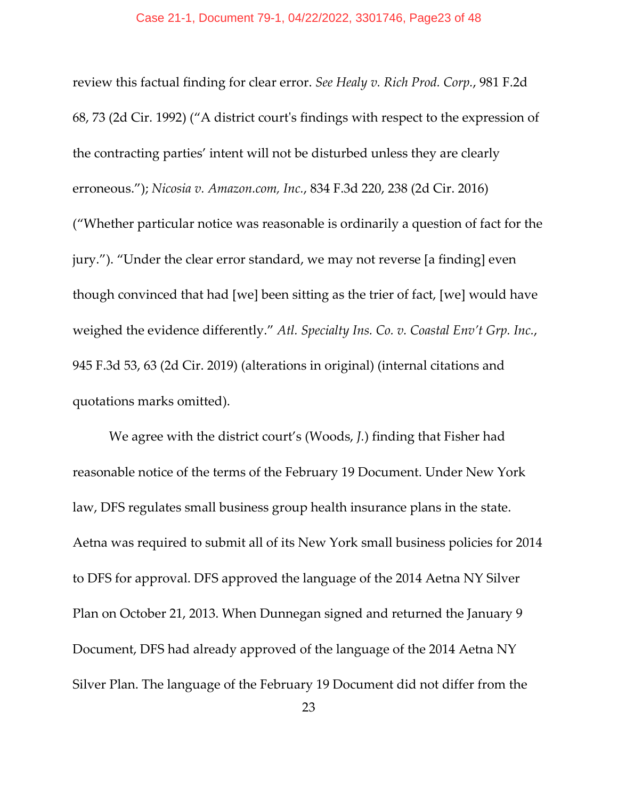review this factual finding for clear error. *See Healy v. Rich Prod. Corp.*, 981 F.2d 68, 73 (2d Cir. 1992) ("A district court's findings with respect to the expression of the contracting parties' intent will not be disturbed unless they are clearly erroneous."); *Nicosia v. Amazon.com, Inc.*, 834 F.3d 220, 238 (2d Cir. 2016) ("Whether particular notice was reasonable is ordinarily a question of fact for the jury."). "Under the clear error standard, we may not reverse [a finding] even though convinced that had [we] been sitting as the trier of fact, [we] would have weighed the evidence differently." *Atl. Specialty Ins. Co. v. Coastal Env't Grp. Inc.*, 945 F.3d 53, 63 (2d Cir. 2019) (alterations in original) (internal citations and quotations marks omitted).

We agree with the district court's (Woods, *J.*) finding that Fisher had reasonable notice of the terms of the February 19 Document. Under New York law, DFS regulates small business group health insurance plans in the state. Aetna was required to submit all of its New York small business policies for 2014 to DFS for approval. DFS approved the language of the 2014 Aetna NY Silver Plan on October 21, 2013. When Dunnegan signed and returned the January 9 Document, DFS had already approved of the language of the 2014 Aetna NY Silver Plan. The language of the February 19 Document did not differ from the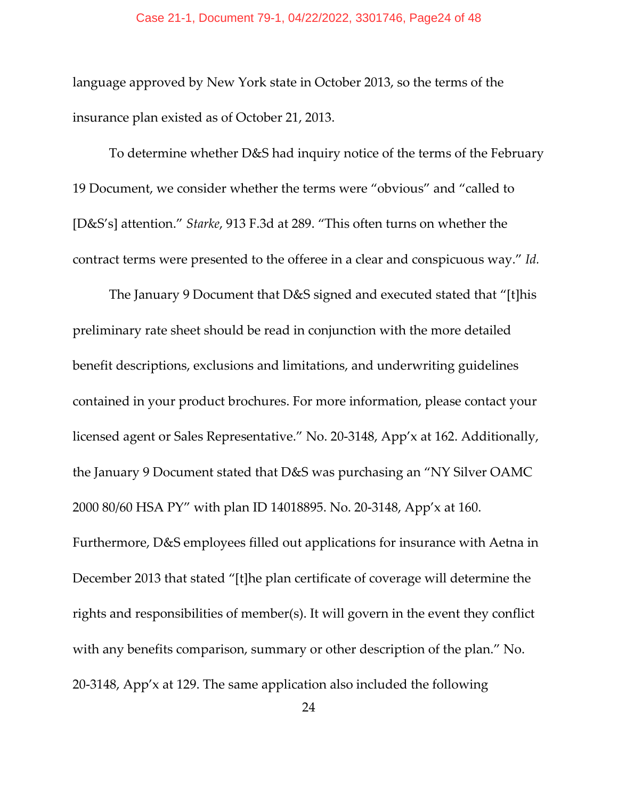language approved by New York state in October 2013, so the terms of the insurance plan existed as of October 21, 2013.

To determine whether D&S had inquiry notice of the terms of the February 19 Document, we consider whether the terms were "obvious" and "called to [D&S's] attention." *Starke*, 913 F.3d at 289. "This often turns on whether the contract terms were presented to the offeree in a clear and conspicuous way." *Id.*

The January 9 Document that D&S signed and executed stated that "[t]his preliminary rate sheet should be read in conjunction with the more detailed benefit descriptions, exclusions and limitations, and underwriting guidelines contained in your product brochures. For more information, please contact your licensed agent or Sales Representative." No. 20-3148, App'x at 162. Additionally, the January 9 Document stated that D&S was purchasing an "NY Silver OAMC 2000 80/60 HSA PY" with plan ID 14018895. No. 20-3148, App'x at 160. Furthermore, D&S employees filled out applications for insurance with Aetna in December 2013 that stated "[t]he plan certificate of coverage will determine the rights and responsibilities of member(s). It will govern in the event they conflict with any benefits comparison, summary or other description of the plan." No. 20-3148, App'x at 129. The same application also included the following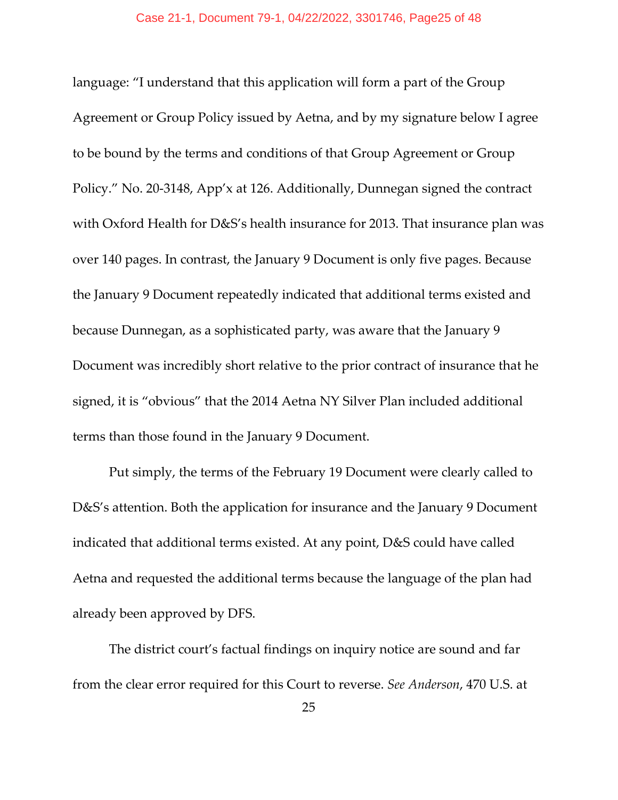language: "I understand that this application will form a part of the Group Agreement or Group Policy issued by Aetna, and by my signature below I agree to be bound by the terms and conditions of that Group Agreement or Group Policy." No. 20-3148, App'x at 126. Additionally, Dunnegan signed the contract with Oxford Health for D&S's health insurance for 2013. That insurance plan was over 140 pages. In contrast, the January 9 Document is only five pages. Because the January 9 Document repeatedly indicated that additional terms existed and because Dunnegan, as a sophisticated party, was aware that the January 9 Document was incredibly short relative to the prior contract of insurance that he signed, it is "obvious" that the 2014 Aetna NY Silver Plan included additional terms than those found in the January 9 Document.

Put simply, the terms of the February 19 Document were clearly called to D&S's attention. Both the application for insurance and the January 9 Document indicated that additional terms existed. At any point, D&S could have called Aetna and requested the additional terms because the language of the plan had already been approved by DFS.

The district court's factual findings on inquiry notice are sound and far from the clear error required for this Court to reverse. *See Anderson*, 470 U.S. at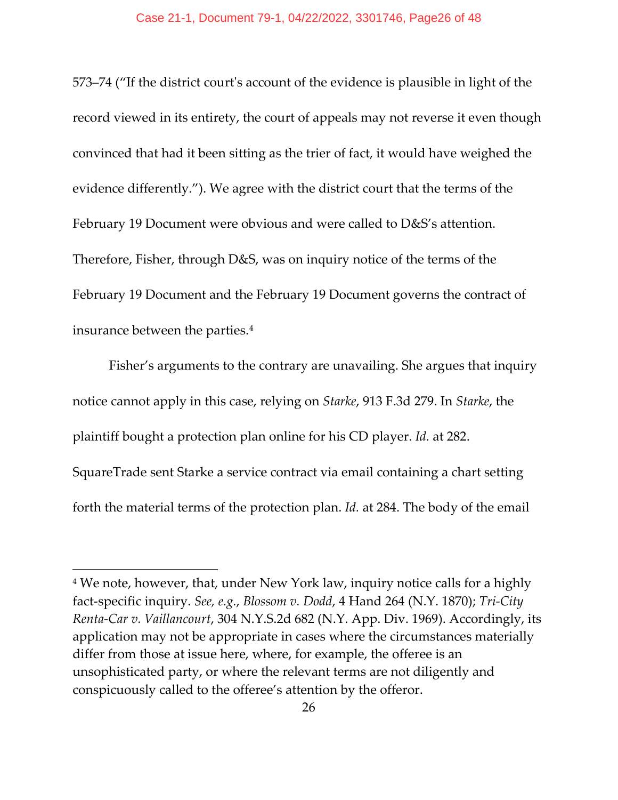573–74 ("If the district court's account of the evidence is plausible in light of the record viewed in its entirety, the court of appeals may not reverse it even though convinced that had it been sitting as the trier of fact, it would have weighed the evidence differently."). We agree with the district court that the terms of the February 19 Document were obvious and were called to D&S's attention. Therefore, Fisher, through D&S, was on inquiry notice of the terms of the February 19 Document and the February 19 Document governs the contract of insurance between the parties.[4](#page-25-0)

Fisher's arguments to the contrary are unavailing. She argues that inquiry notice cannot apply in this case, relying on *Starke*, 913 F.3d 279. In *Starke*, the plaintiff bought a protection plan online for his CD player. *Id.* at 282. SquareTrade sent Starke a service contract via email containing a chart setting forth the material terms of the protection plan. *Id.* at 284. The body of the email

<span id="page-25-0"></span><sup>&</sup>lt;sup>4</sup> We note, however, that, under New York law, inquiry notice calls for a highly fact-specific inquiry. *See, e.g.*, *Blossom v. Dodd*, 4 Hand 264 (N.Y. 1870); *Tri-City Renta-Car v. Vaillancourt*, 304 N.Y.S.2d 682 (N.Y. App. Div. 1969). Accordingly, its application may not be appropriate in cases where the circumstances materially differ from those at issue here, where, for example, the offeree is an unsophisticated party, or where the relevant terms are not diligently and conspicuously called to the offeree's attention by the offeror.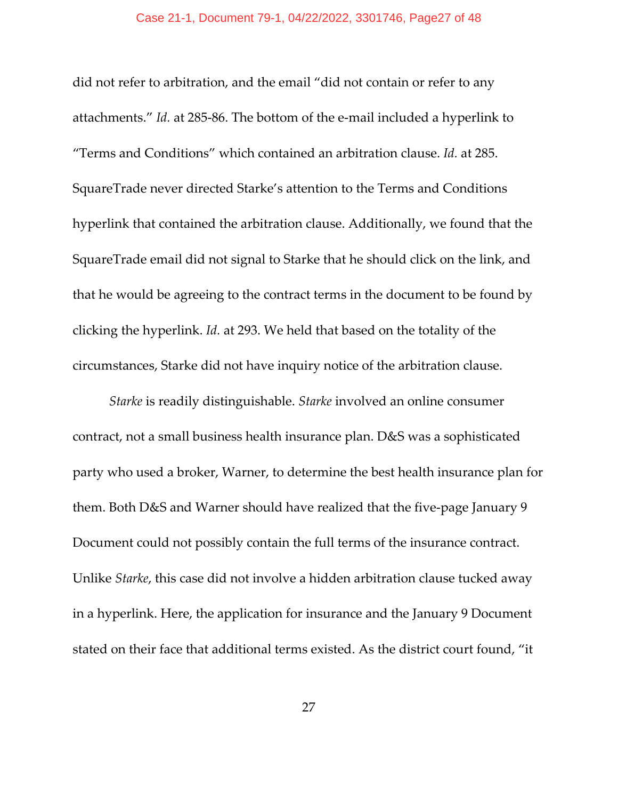did not refer to arbitration, and the email "did not contain or refer to any attachments." *Id.* at 285-86. The bottom of the e-mail included a hyperlink to "Terms and Conditions" which contained an arbitration clause. *Id.* at 285. SquareTrade never directed Starke's attention to the Terms and Conditions hyperlink that contained the arbitration clause. Additionally, we found that the SquareTrade email did not signal to Starke that he should click on the link, and that he would be agreeing to the contract terms in the document to be found by clicking the hyperlink. *Id.* at 293. We held that based on the totality of the circumstances, Starke did not have inquiry notice of the arbitration clause.

*Starke* is readily distinguishable. *Starke* involved an online consumer contract, not a small business health insurance plan. D&S was a sophisticated party who used a broker, Warner, to determine the best health insurance plan for them. Both D&S and Warner should have realized that the five-page January 9 Document could not possibly contain the full terms of the insurance contract. Unlike *Starke*, this case did not involve a hidden arbitration clause tucked away in a hyperlink. Here, the application for insurance and the January 9 Document stated on their face that additional terms existed. As the district court found, "it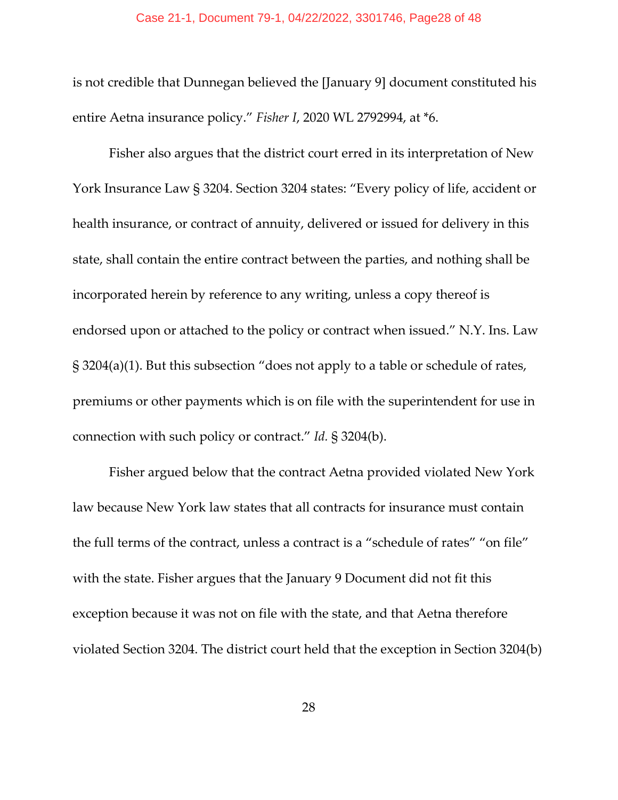#### Case 21-1, Document 79-1, 04/22/2022, 3301746, Page28 of 48

is not credible that Dunnegan believed the [January 9] document constituted his entire Aetna insurance policy." *Fisher I*, 2020 WL 2792994, at \*6.

Fisher also argues that the district court erred in its interpretation of New York Insurance Law § 3204. Section 3204 states: "Every policy of life, accident or health insurance, or contract of annuity, delivered or issued for delivery in this state, shall contain the entire contract between the parties, and nothing shall be incorporated herein by reference to any writing, unless a copy thereof is endorsed upon or attached to the policy or contract when issued." N.Y. Ins. Law § 3204(a)(1). But this subsection "does not apply to a table or schedule of rates, premiums or other payments which is on file with the superintendent for use in connection with such policy or contract." *Id.* § 3204(b).

Fisher argued below that the contract Aetna provided violated New York law because New York law states that all contracts for insurance must contain the full terms of the contract, unless a contract is a "schedule of rates" "on file" with the state. Fisher argues that the January 9 Document did not fit this exception because it was not on file with the state, and that Aetna therefore violated Section 3204. The district court held that the exception in Section 3204(b)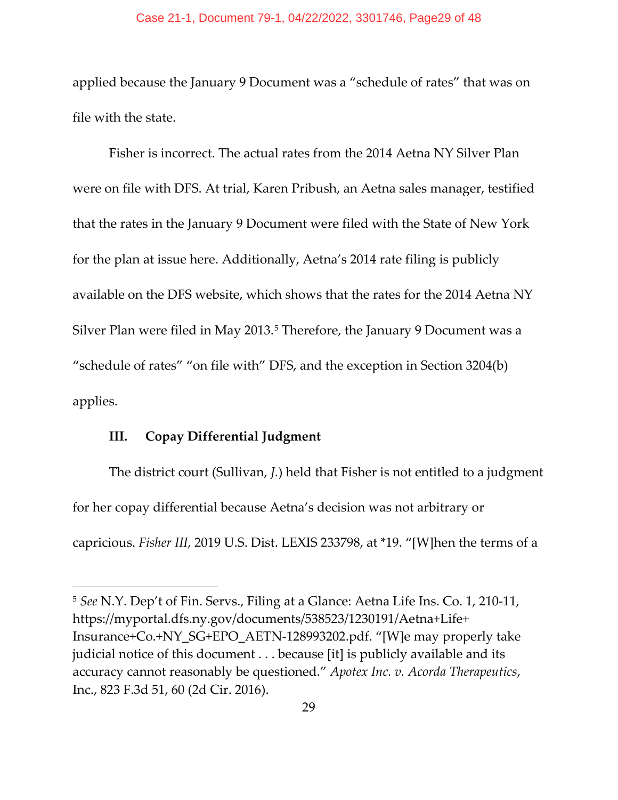applied because the January 9 Document was a "schedule of rates" that was on file with the state.

Fisher is incorrect. The actual rates from the 2014 Aetna NY Silver Plan were on file with DFS. At trial, Karen Pribush, an Aetna sales manager, testified that the rates in the January 9 Document were filed with the State of New York for the plan at issue here. Additionally, Aetna's 2014 rate filing is publicly available on the DFS website, which shows that the rates for the 2014 Aetna NY Silver Plan were filed in May 2013.<sup>[5](#page-28-0)</sup> Therefore, the January 9 Document was a "schedule of rates" "on file with" DFS, and the exception in Section 3204(b) applies.

## **III. Copay Differential Judgment**

The district court (Sullivan, *J.*) held that Fisher is not entitled to a judgment for her copay differential because Aetna's decision was not arbitrary or capricious. *Fisher III*, 2019 U.S. Dist. LEXIS 233798, at \*19. "[W]hen the terms of a

<span id="page-28-0"></span><sup>5</sup> *See* N.Y. Dep't of Fin. Servs., Filing at a Glance: Aetna Life Ins. Co. 1, 210-11, https://myportal.dfs.ny.gov/documents/538523/1230191/Aetna+Life+ Insurance+Co.+NY\_SG+EPO\_AETN-128993202.pdf. "[W]e may properly take judicial notice of this document . . . because [it] is publicly available and its accuracy cannot reasonably be questioned." *Apotex Inc. v. Acorda Therapeutics*, Inc., 823 F.3d 51, 60 (2d Cir. 2016).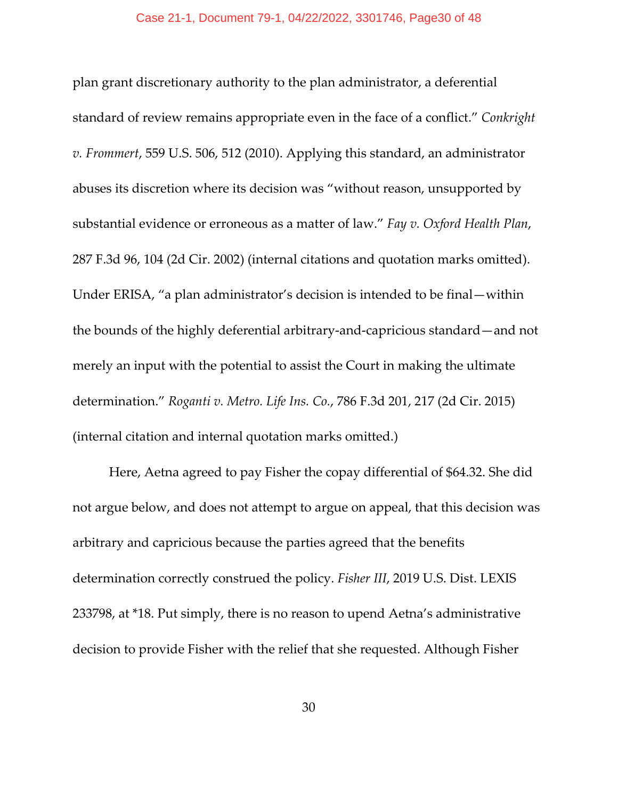plan grant discretionary authority to the plan administrator, a deferential standard of review remains appropriate even in the face of a conflict." *Conkright v. Frommert*, 559 U.S. 506, 512 (2010). Applying this standard, an administrator abuses its discretion where its decision was "without reason, unsupported by substantial evidence or erroneous as a matter of law." *Fay v. Oxford Health Plan*, 287 F.3d 96, 104 (2d Cir. 2002) (internal citations and quotation marks omitted). Under ERISA, "a plan administrator's decision is intended to be final—within the bounds of the highly deferential arbitrary-and-capricious standard—and not merely an input with the potential to assist the Court in making the ultimate determination." *Roganti v. Metro. Life Ins. Co.*, 786 F.3d 201, 217 (2d Cir. 2015) (internal citation and internal quotation marks omitted.)

Here, Aetna agreed to pay Fisher the copay differential of \$64.32. She did not argue below, and does not attempt to argue on appeal, that this decision was arbitrary and capricious because the parties agreed that the benefits determination correctly construed the policy. *Fisher III*, 2019 U.S. Dist. LEXIS 233798, at \*18. Put simply, there is no reason to upend Aetna's administrative decision to provide Fisher with the relief that she requested. Although Fisher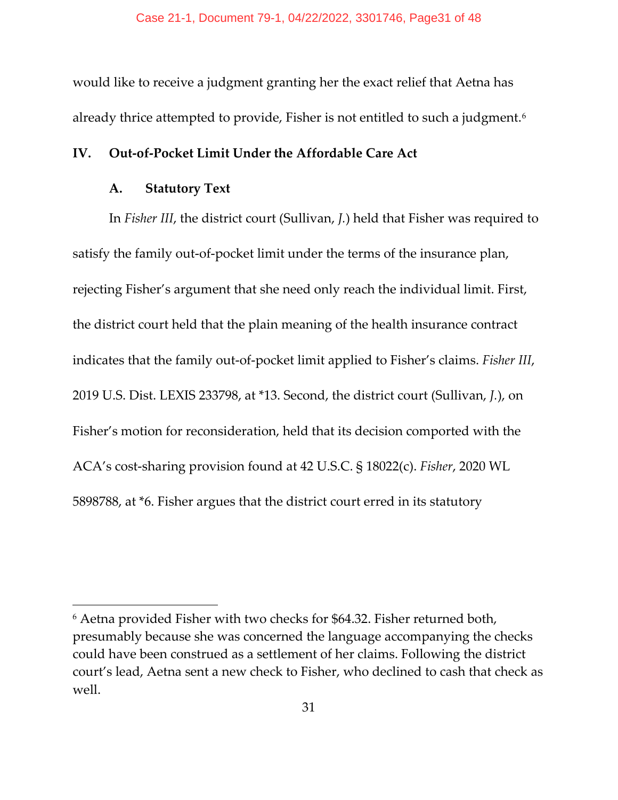would like to receive a judgment granting her the exact relief that Aetna has already thrice attempted to provide, Fisher is not entitled to such a judgment.<sup>[6](#page-30-0)</sup>

## **IV. Out-of-Pocket Limit Under the Affordable Care Act**

#### **A. Statutory Text**

In *Fisher III*, the district court (Sullivan, *J.*) held that Fisher was required to satisfy the family out-of-pocket limit under the terms of the insurance plan, rejecting Fisher's argument that she need only reach the individual limit. First, the district court held that the plain meaning of the health insurance contract indicates that the family out-of-pocket limit applied to Fisher's claims. *Fisher III*, 2019 U.S. Dist. LEXIS 233798, at \*13. Second, the district court (Sullivan, *J.*), on Fisher's motion for reconsideration, held that its decision comported with the ACA's cost-sharing provision found at 42 U.S.C. § 18022(c). *Fisher*, 2020 WL 5898788, at \*6. Fisher argues that the district court erred in its statutory

<span id="page-30-0"></span><sup>6</sup> Aetna provided Fisher with two checks for \$64.32. Fisher returned both, presumably because she was concerned the language accompanying the checks could have been construed as a settlement of her claims. Following the district court's lead, Aetna sent a new check to Fisher, who declined to cash that check as well.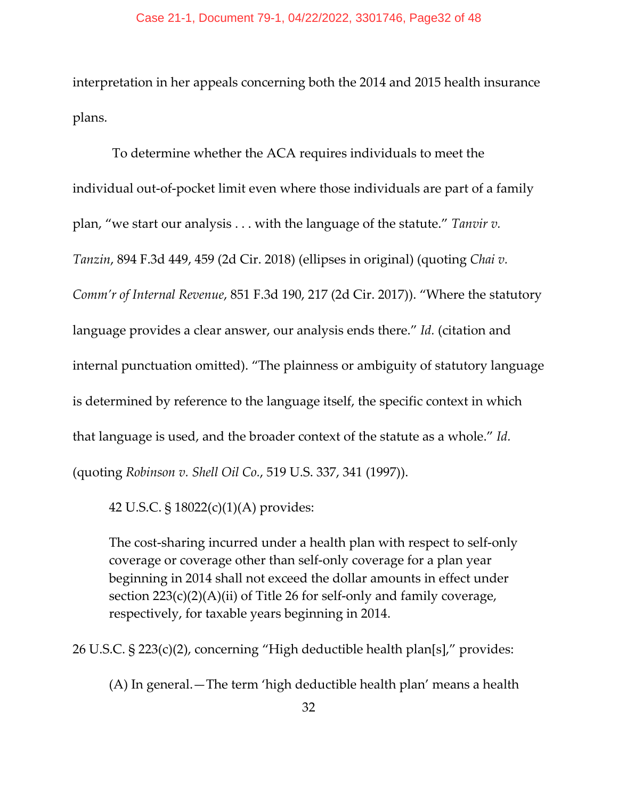interpretation in her appeals concerning both the 2014 and 2015 health insurance plans.

To determine whether the ACA requires individuals to meet the individual out-of-pocket limit even where those individuals are part of a family plan, "we start our analysis . . . with the language of the statute." *Tanvir v. Tanzin*, 894 F.3d 449, 459 (2d Cir. 2018) (ellipses in original) (quoting *Chai v. Comm'r of Internal Revenue*, 851 F.3d 190, 217 (2d Cir. 2017)). "Where the statutory language provides a clear answer, our analysis ends there." *Id.* (citation and internal punctuation omitted). "The plainness or ambiguity of statutory language is determined by reference to the language itself, the specific context in which that language is used, and the broader context of the statute as a whole." *Id.* (quoting *Robinson v. Shell Oil Co.*, 519 U.S. 337, 341 (1997)).

42 U.S.C. § 18022(c)(1)(A) provides:

The cost-sharing incurred under a health plan with respect to self-only coverage or coverage other than self-only coverage for a plan year beginning in 2014 shall not exceed the dollar amounts in effect under section 223(c)(2)(A)(ii) of Title 26 for self-only and family coverage, respectively, for taxable years beginning in 2014.

26 U.S.C. § 223(c)(2), concerning "High deductible health plan[s]," provides:

(A) In general.—The term 'high deductible health plan' means a health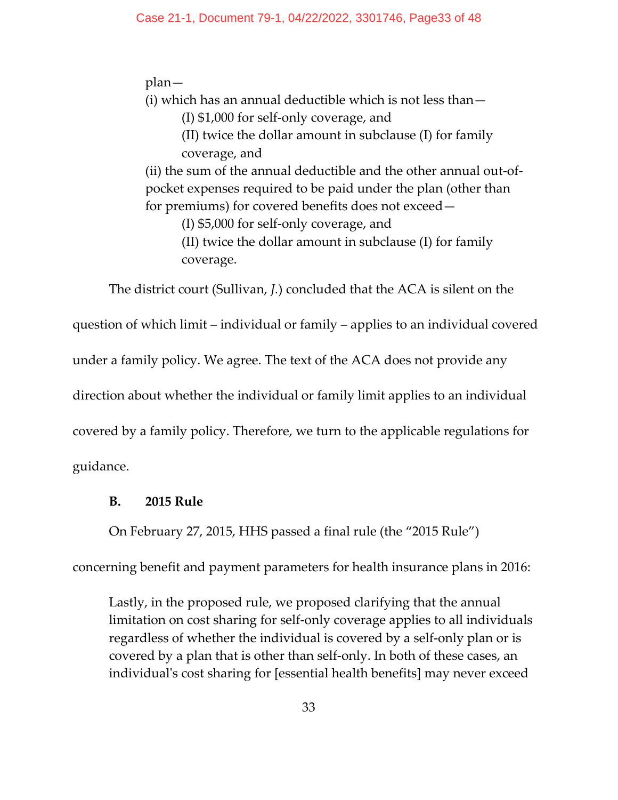plan—

(i) which has an annual deductible which is not less than—

(I) \$1,000 for self-only coverage, and

(II) twice the dollar amount in subclause (I) for family coverage, and

(ii) the sum of the annual deductible and the other annual out-ofpocket expenses required to be paid under the plan (other than for premiums) for covered benefits does not exceed—

(I) \$5,000 for self-only coverage, and

(II) twice the dollar amount in subclause (I) for family coverage.

The district court (Sullivan, *J.*) concluded that the ACA is silent on the

question of which limit – individual or family – applies to an individual covered

under a family policy. We agree. The text of the ACA does not provide any

direction about whether the individual or family limit applies to an individual

covered by a family policy. Therefore, we turn to the applicable regulations for

guidance.

## **B. 2015 Rule**

On February 27, 2015, HHS passed a final rule (the "2015 Rule")

concerning benefit and payment parameters for health insurance plans in 2016:

Lastly, in the proposed rule, we proposed clarifying that the annual limitation on cost sharing for self-only coverage applies to all individuals regardless of whether the individual is covered by a self-only plan or is covered by a plan that is other than self-only. In both of these cases, an individual's cost sharing for [essential health benefits] may never exceed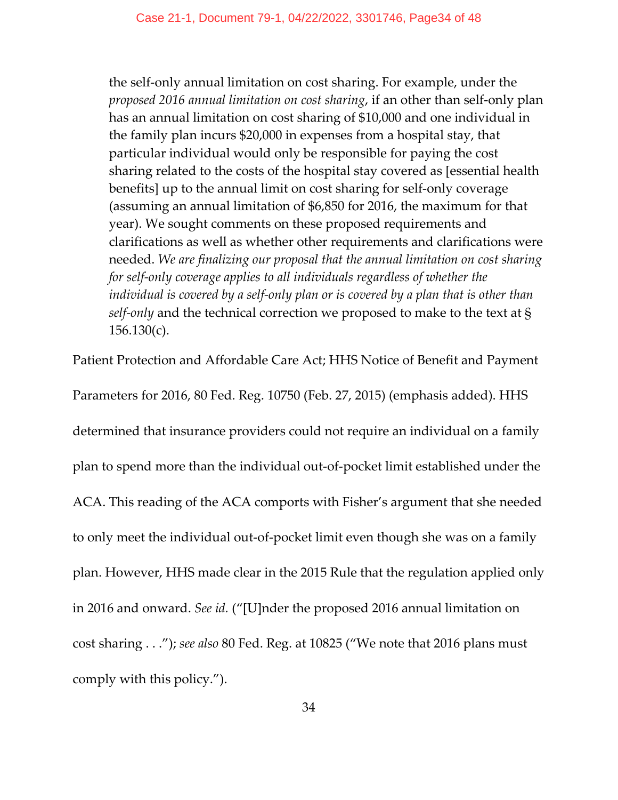the self-only annual limitation on cost sharing. For example, under the *proposed 2016 annual limitation on cost sharing*, if an other than self-only plan has an annual limitation on cost sharing of \$10,000 and one individual in the family plan incurs \$20,000 in expenses from a hospital stay, that particular individual would only be responsible for paying the cost sharing related to the costs of the hospital stay covered as [essential health benefits] up to the annual limit on cost sharing for self-only coverage (assuming an annual limitation of \$6,850 for 2016, the maximum for that year). We sought comments on these proposed requirements and clarifications as well as whether other requirements and clarifications were needed. *We are finalizing our proposal that the annual limitation on cost sharing for self-only coverage applies to all individuals regardless of whether the individual is covered by a self-only plan or is covered by a plan that is other than self-only* and the technical correction we proposed to make to the text at §  $156.130(c)$ .

Patient Protection and Affordable Care Act; HHS Notice of Benefit and Payment

Parameters for 2016, 80 Fed. Reg. 10750 (Feb. 27, 2015) (emphasis added). HHS determined that insurance providers could not require an individual on a family plan to spend more than the individual out-of-pocket limit established under the ACA. This reading of the ACA comports with Fisher's argument that she needed to only meet the individual out-of-pocket limit even though she was on a family plan. However, HHS made clear in the 2015 Rule that the regulation applied only in 2016 and onward. *See id.* ("[U]nder the proposed 2016 annual limitation on cost sharing . . ."); *see also* 80 Fed. Reg. at 10825 ("We note that 2016 plans must comply with this policy.").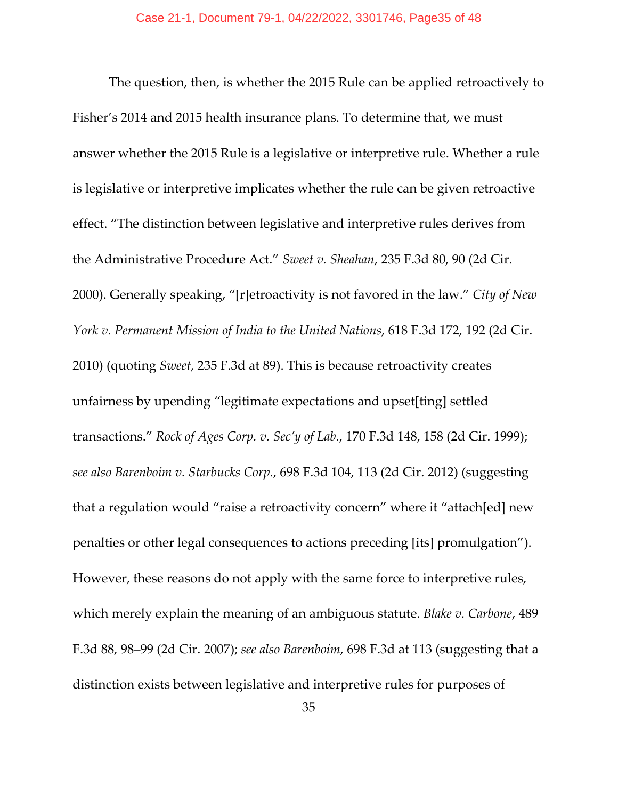The question, then, is whether the 2015 Rule can be applied retroactively to Fisher's 2014 and 2015 health insurance plans. To determine that, we must answer whether the 2015 Rule is a legislative or interpretive rule. Whether a rule is legislative or interpretive implicates whether the rule can be given retroactive effect. "The distinction between legislative and interpretive rules derives from the Administrative Procedure Act." *Sweet v. Sheahan*, 235 F.3d 80, 90 (2d Cir. 2000). Generally speaking, "[r]etroactivity is not favored in the law." *City of New York v. Permanent Mission of India to the United Nations*, 618 F.3d 172, 192 (2d Cir. 2010) (quoting *Sweet*, 235 F.3d at 89). This is because retroactivity creates unfairness by upending "legitimate expectations and upset[ting] settled transactions." *Rock of Ages Corp. v. Sec'y of Lab.*, 170 F.3d 148, 158 (2d Cir. 1999); *see also Barenboim v. Starbucks Corp.*, 698 F.3d 104, 113 (2d Cir. 2012) (suggesting that a regulation would "raise a retroactivity concern" where it "attach[ed] new penalties or other legal consequences to actions preceding [its] promulgation"). However, these reasons do not apply with the same force to interpretive rules, which merely explain the meaning of an ambiguous statute. *Blake v. Carbone*, 489 F.3d 88, 98–99 (2d Cir. 2007); *see also Barenboim*, 698 F.3d at 113 (suggesting that a distinction exists between legislative and interpretive rules for purposes of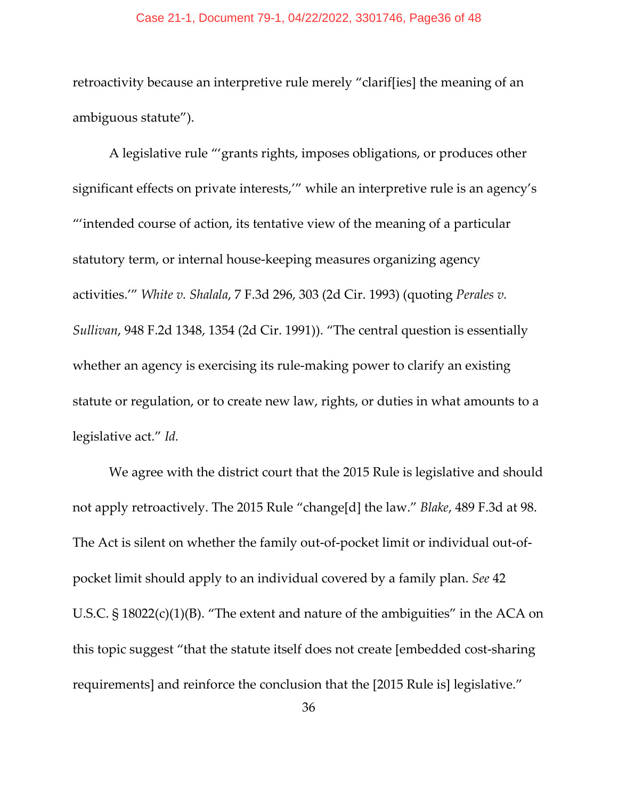#### Case 21-1, Document 79-1, 04/22/2022, 3301746, Page36 of 48

retroactivity because an interpretive rule merely "clarif[ies] the meaning of an ambiguous statute").

A legislative rule "'grants rights, imposes obligations, or produces other significant effects on private interests,'" while an interpretive rule is an agency's "'intended course of action, its tentative view of the meaning of a particular statutory term, or internal house-keeping measures organizing agency activities.'" *White v. Shalala*, 7 F.3d 296, 303 (2d Cir. 1993) (quoting *Perales v. Sullivan*, 948 F.2d 1348, 1354 (2d Cir. 1991)). "The central question is essentially whether an agency is exercising its rule-making power to clarify an existing statute or regulation, or to create new law, rights, or duties in what amounts to a legislative act." *Id.*

We agree with the district court that the 2015 Rule is legislative and should not apply retroactively. The 2015 Rule "change[d] the law." *Blake*, 489 F.3d at 98. The Act is silent on whether the family out-of-pocket limit or individual out-ofpocket limit should apply to an individual covered by a family plan. *See* 42 U.S.C. § 18022(c)(1)(B). "The extent and nature of the ambiguities" in the ACA on this topic suggest "that the statute itself does not create [embedded cost-sharing requirements] and reinforce the conclusion that the [2015 Rule is] legislative."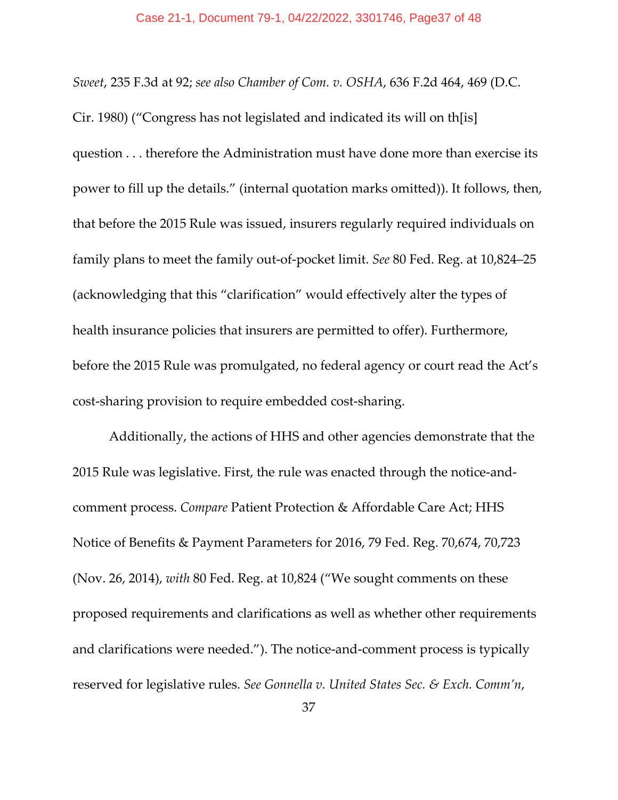*Sweet*, 235 F.3d at 92; *see also Chamber of Com. v. OSHA*, 636 F.2d 464, 469 (D.C.

Cir. 1980) ("Congress has not legislated and indicated its will on th[is] question . . . therefore the Administration must have done more than exercise its power to fill up the details." (internal quotation marks omitted)). It follows, then, that before the 2015 Rule was issued, insurers regularly required individuals on family plans to meet the family out-of-pocket limit. *See* 80 Fed. Reg. at 10,824–25 (acknowledging that this "clarification" would effectively alter the types of health insurance policies that insurers are permitted to offer). Furthermore, before the 2015 Rule was promulgated, no federal agency or court read the Act's cost-sharing provision to require embedded cost-sharing.

Additionally, the actions of HHS and other agencies demonstrate that the 2015 Rule was legislative. First, the rule was enacted through the notice-andcomment process. *Compare* Patient Protection & Affordable Care Act; HHS Notice of Benefits & Payment Parameters for 2016, 79 Fed. Reg. 70,674, 70,723 (Nov. 26, 2014), *with* 80 Fed. Reg. at 10,824 ("We sought comments on these proposed requirements and clarifications as well as whether other requirements and clarifications were needed."). The notice-and-comment process is typically reserved for legislative rules. *See Gonnella v. United States Sec. & Exch. Comm'n*,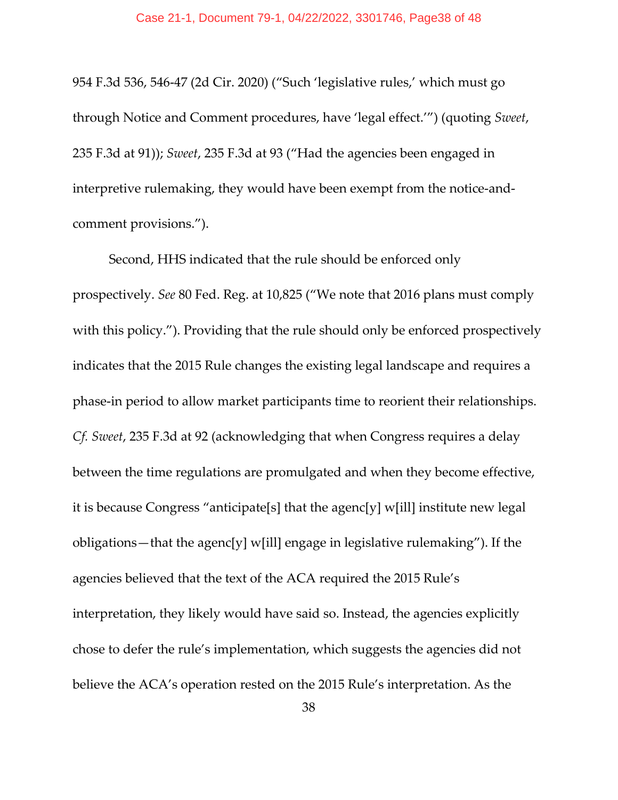954 F.3d 536, 546-47 (2d Cir. 2020) ("Such 'legislative rules,' which must go through Notice and Comment procedures, have 'legal effect.'") (quoting *Sweet*, 235 F.3d at 91)); *Sweet*, 235 F.3d at 93 ("Had the agencies been engaged in interpretive rulemaking, they would have been exempt from the notice-andcomment provisions.").

Second, HHS indicated that the rule should be enforced only prospectively. *See* 80 Fed. Reg. at 10,825 ("We note that 2016 plans must comply with this policy."). Providing that the rule should only be enforced prospectively indicates that the 2015 Rule changes the existing legal landscape and requires a phase-in period to allow market participants time to reorient their relationships. *Cf. Sweet*, 235 F.3d at 92 (acknowledging that when Congress requires a delay between the time regulations are promulgated and when they become effective, it is because Congress "anticipate[s] that the agenc[y] w[ill] institute new legal obligations—that the agenc[y] w[ill] engage in legislative rulemaking"). If the agencies believed that the text of the ACA required the 2015 Rule's interpretation, they likely would have said so. Instead, the agencies explicitly chose to defer the rule's implementation, which suggests the agencies did not believe the ACA's operation rested on the 2015 Rule's interpretation. As the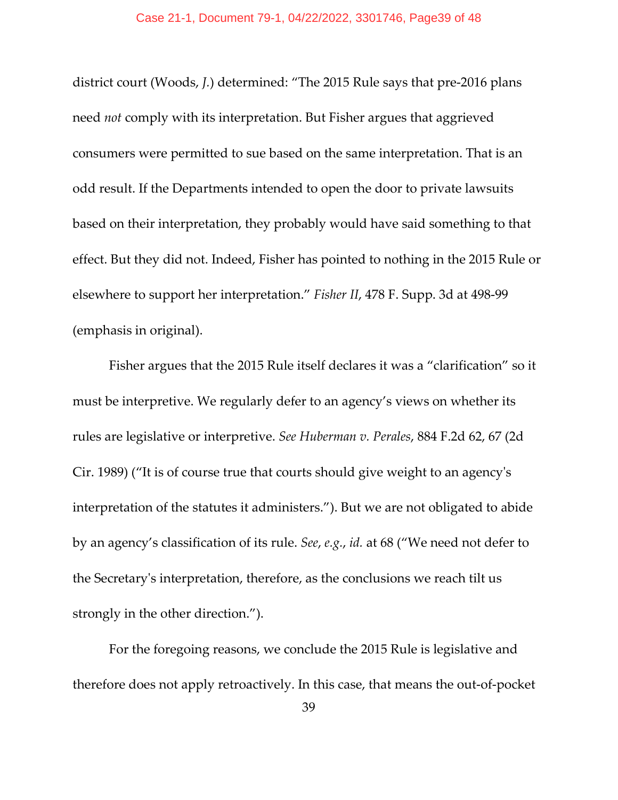district court (Woods, *J.*) determined: "The 2015 Rule says that pre-2016 plans need *not* comply with its interpretation. But Fisher argues that aggrieved consumers were permitted to sue based on the same interpretation. That is an odd result. If the Departments intended to open the door to private lawsuits based on their interpretation, they probably would have said something to that effect. But they did not. Indeed, Fisher has pointed to nothing in the 2015 Rule or elsewhere to support her interpretation." *Fisher II*, 478 F. Supp. 3d at 498-99 (emphasis in original).

Fisher argues that the 2015 Rule itself declares it was a "clarification" so it must be interpretive. We regularly defer to an agency's views on whether its rules are legislative or interpretive. *See Huberman v. Perales*, 884 F.2d 62, 67 (2d Cir. 1989) ("It is of course true that courts should give weight to an agency's interpretation of the statutes it administers."). But we are not obligated to abide by an agency's classification of its rule. *See*, *e.g.*, *id.* at 68 ("We need not defer to the Secretary's interpretation, therefore, as the conclusions we reach tilt us strongly in the other direction.").

For the foregoing reasons, we conclude the 2015 Rule is legislative and therefore does not apply retroactively. In this case, that means the out-of-pocket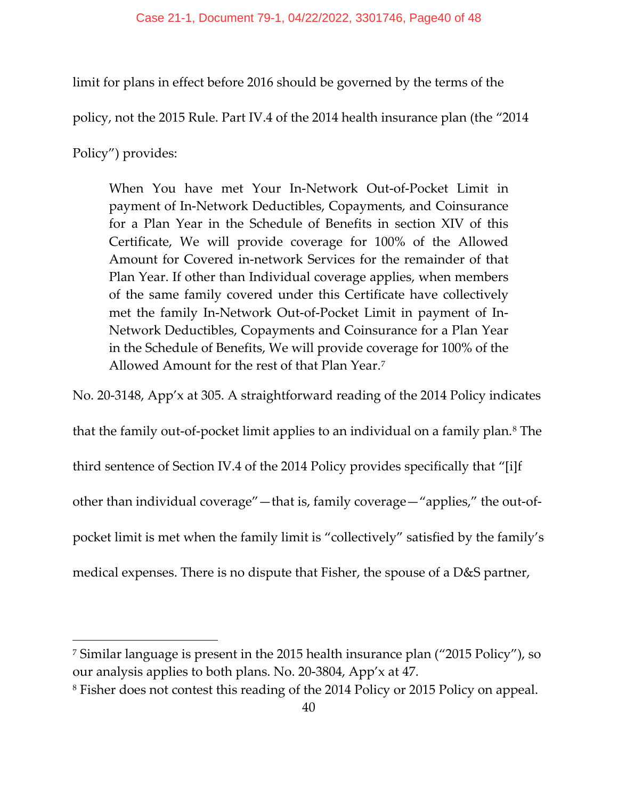limit for plans in effect before 2016 should be governed by the terms of the

policy, not the 2015 Rule. Part IV.4 of the 2014 health insurance plan (the "2014

Policy") provides:

When You have met Your In-Network Out-of-Pocket Limit in payment of In-Network Deductibles, Copayments, and Coinsurance for a Plan Year in the Schedule of Benefits in section XIV of this Certificate, We will provide coverage for 100% of the Allowed Amount for Covered in-network Services for the remainder of that Plan Year. If other than Individual coverage applies, when members of the same family covered under this Certificate have collectively met the family In-Network Out-of-Pocket Limit in payment of In-Network Deductibles, Copayments and Coinsurance for a Plan Year in the Schedule of Benefits, We will provide coverage for 100% of the Allowed Amount for the rest of that Plan Year.[7](#page-39-0)

No. 20-3148, App'x at 305. A straightforward reading of the 2014 Policy indicates

that the family out-of-pocket limit applies to an individual on a family plan.<sup>[8](#page-39-1)</sup> The

third sentence of Section IV.4 of the 2014 Policy provides specifically that "[i]f

other than individual coverage"—that is, family coverage—"applies," the out-of-

pocket limit is met when the family limit is "collectively" satisfied by the family's

medical expenses. There is no dispute that Fisher, the spouse of a D&S partner,

<span id="page-39-0"></span><sup>7</sup> Similar language is present in the 2015 health insurance plan ("2015 Policy"), so our analysis applies to both plans. No. 20-3804, App'x at 47.

<span id="page-39-1"></span><sup>8</sup> Fisher does not contest this reading of the 2014 Policy or 2015 Policy on appeal.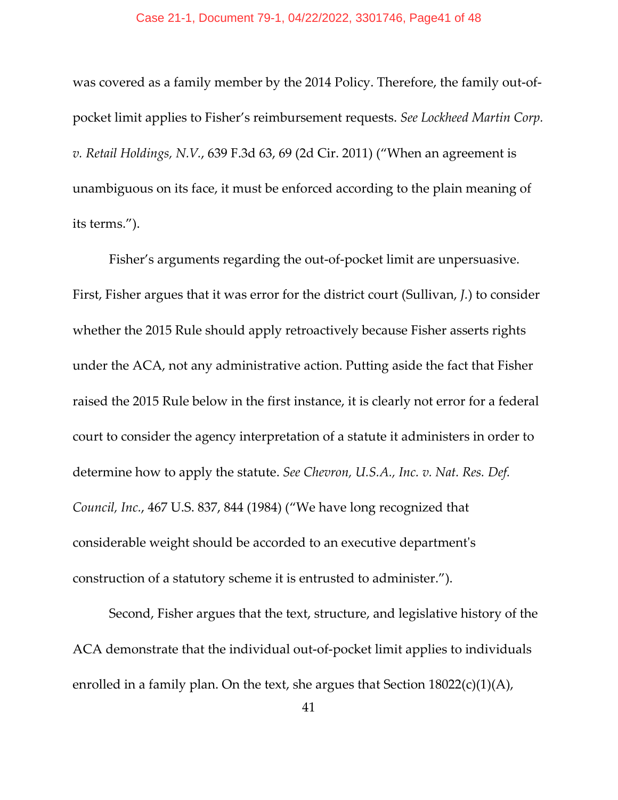#### Case 21-1, Document 79-1, 04/22/2022, 3301746, Page41 of 48

was covered as a family member by the 2014 Policy. Therefore, the family out-ofpocket limit applies to Fisher's reimbursement requests. *See Lockheed Martin Corp. v. Retail Holdings, N.V.*, 639 F.3d 63, 69 (2d Cir. 2011) ("When an agreement is unambiguous on its face, it must be enforced according to the plain meaning of its terms.").

Fisher's arguments regarding the out-of-pocket limit are unpersuasive. First, Fisher argues that it was error for the district court (Sullivan, *J.*) to consider whether the 2015 Rule should apply retroactively because Fisher asserts rights under the ACA, not any administrative action. Putting aside the fact that Fisher raised the 2015 Rule below in the first instance, it is clearly not error for a federal court to consider the agency interpretation of a statute it administers in order to determine how to apply the statute. *See Chevron, U.S.A., Inc. v. Nat. Res. Def. Council, Inc.*, 467 U.S. 837, 844 (1984) ("We have long recognized that considerable weight should be accorded to an executive department's construction of a statutory scheme it is entrusted to administer.").

Second, Fisher argues that the text, structure, and legislative history of the ACA demonstrate that the individual out-of-pocket limit applies to individuals enrolled in a family plan. On the text, she argues that Section  $18022(c)(1)(A)$ ,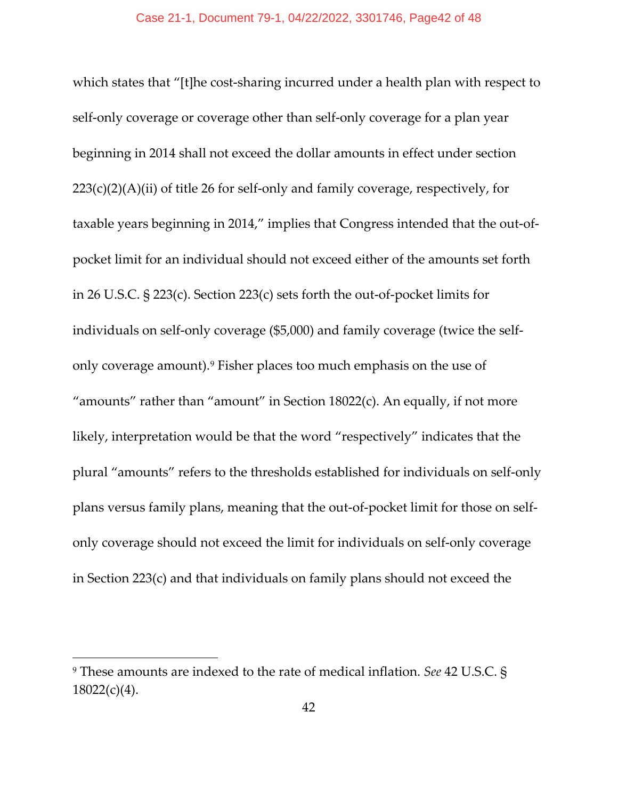which states that "[t]he cost-sharing incurred under a health plan with respect to self-only coverage or coverage other than self-only coverage for a plan year beginning in 2014 shall not exceed the dollar amounts in effect under section  $223(c)(2)(A)(ii)$  of title 26 for self-only and family coverage, respectively, for taxable years beginning in 2014," implies that Congress intended that the out-ofpocket limit for an individual should not exceed either of the amounts set forth in 26 U.S.C. § 223(c). Section 223(c) sets forth the out-of-pocket limits for individuals on self-only coverage (\$5,000) and family coverage (twice the selfonly coverage amount)[.9](#page-41-0) Fisher places too much emphasis on the use of "amounts" rather than "amount" in Section 18022(c). An equally, if not more likely, interpretation would be that the word "respectively" indicates that the plural "amounts" refers to the thresholds established for individuals on self-only plans versus family plans, meaning that the out-of-pocket limit for those on selfonly coverage should not exceed the limit for individuals on self-only coverage in Section 223(c) and that individuals on family plans should not exceed the

<span id="page-41-0"></span><sup>9</sup> These amounts are indexed to the rate of medical inflation. *See* 42 U.S.C. §  $18022(c)(4)$ .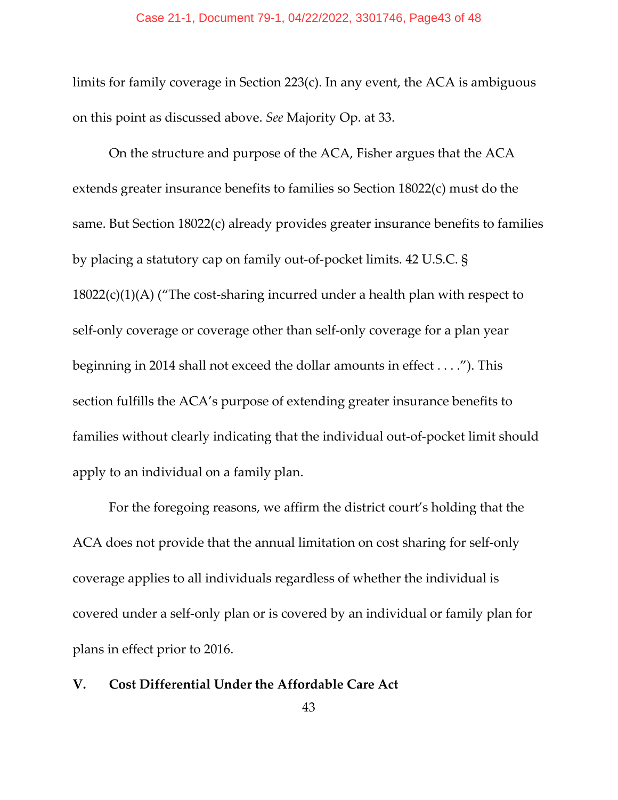#### Case 21-1, Document 79-1, 04/22/2022, 3301746, Page43 of 48

limits for family coverage in Section 223(c). In any event, the ACA is ambiguous on this point as discussed above. *See* Majority Op. at 33.

On the structure and purpose of the ACA, Fisher argues that the ACA extends greater insurance benefits to families so Section 18022(c) must do the same. But Section 18022(c) already provides greater insurance benefits to families by placing a statutory cap on family out-of-pocket limits. 42 U.S.C. §  $18022(c)(1)(A)$  ("The cost-sharing incurred under a health plan with respect to self-only coverage or coverage other than self-only coverage for a plan year beginning in 2014 shall not exceed the dollar amounts in effect . . . ."). This section fulfills the ACA's purpose of extending greater insurance benefits to families without clearly indicating that the individual out-of-pocket limit should apply to an individual on a family plan.

For the foregoing reasons, we affirm the district court's holding that the ACA does not provide that the annual limitation on cost sharing for self-only coverage applies to all individuals regardless of whether the individual is covered under a self-only plan or is covered by an individual or family plan for plans in effect prior to 2016.

## **V. Cost Differential Under the Affordable Care Act**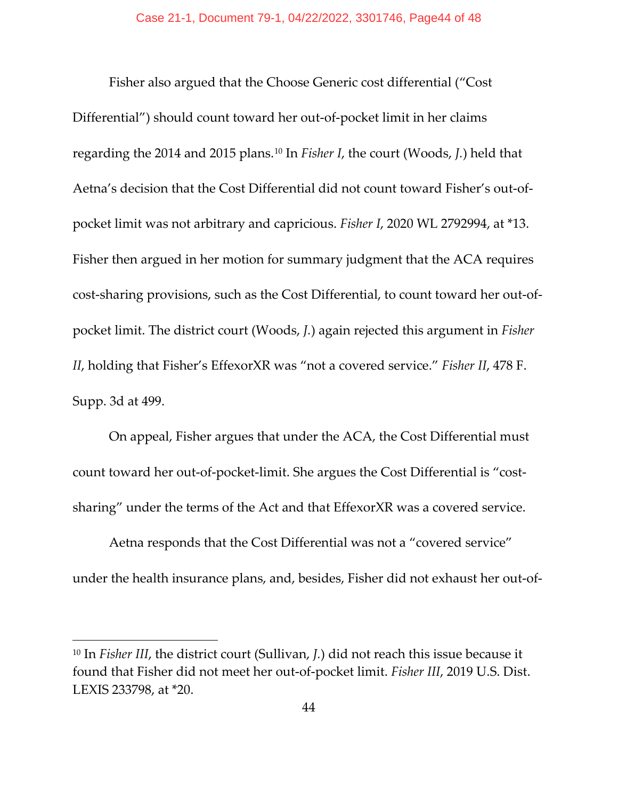Fisher also argued that the Choose Generic cost differential ("Cost Differential") should count toward her out-of-pocket limit in her claims regarding the 2014 and 2015 plans.[10](#page-43-0) In *Fisher I*, the court (Woods, *J.*) held that Aetna's decision that the Cost Differential did not count toward Fisher's out-ofpocket limit was not arbitrary and capricious. *Fisher I*, 2020 WL 2792994, at \*13. Fisher then argued in her motion for summary judgment that the ACA requires cost-sharing provisions, such as the Cost Differential, to count toward her out-ofpocket limit. The district court (Woods, *J.*) again rejected this argument in *Fisher II*, holding that Fisher's EffexorXR was "not a covered service." *Fisher II*, 478 F. Supp. 3d at 499.

On appeal, Fisher argues that under the ACA, the Cost Differential must count toward her out-of-pocket-limit. She argues the Cost Differential is "costsharing" under the terms of the Act and that EffexorXR was a covered service.

Aetna responds that the Cost Differential was not a "covered service" under the health insurance plans, and, besides, Fisher did not exhaust her out-of-

<span id="page-43-0"></span><sup>10</sup> In *Fisher III*, the district court (Sullivan, *J.*) did not reach this issue because it found that Fisher did not meet her out-of-pocket limit. *Fisher III*, 2019 U.S. Dist. LEXIS 233798, at \*20.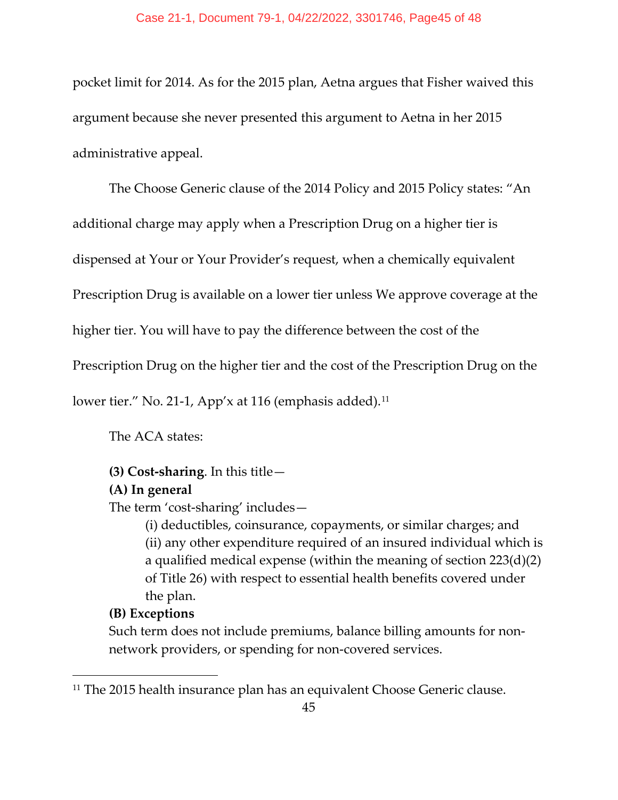pocket limit for 2014. As for the 2015 plan, Aetna argues that Fisher waived this argument because she never presented this argument to Aetna in her 2015 administrative appeal.

The Choose Generic clause of the 2014 Policy and 2015 Policy states: "An

additional charge may apply when a Prescription Drug on a higher tier is

dispensed at Your or Your Provider's request, when a chemically equivalent

Prescription Drug is available on a lower tier unless We approve coverage at the

higher tier. You will have to pay the difference between the cost of the

Prescription Drug on the higher tier and the cost of the Prescription Drug on the

lower tier." No. 21-1, App'x at [11](#page-44-0)6 (emphasis added).<sup>11</sup>

The ACA states:

## **(3) Cost-sharing**. In this title—

## **(A) In general**

The term 'cost-sharing' includes—

(i) deductibles, coinsurance, copayments, or similar charges; and (ii) any other expenditure required of an insured individual which is a qualified medical expense (within the meaning of section 223(d)(2) of Title 26) with respect to essential health benefits covered under the plan.

## **(B) Exceptions**

Such term does not include premiums, balance billing amounts for nonnetwork providers, or spending for non-covered services.

<span id="page-44-0"></span><sup>&</sup>lt;sup>11</sup> The 2015 health insurance plan has an equivalent Choose Generic clause.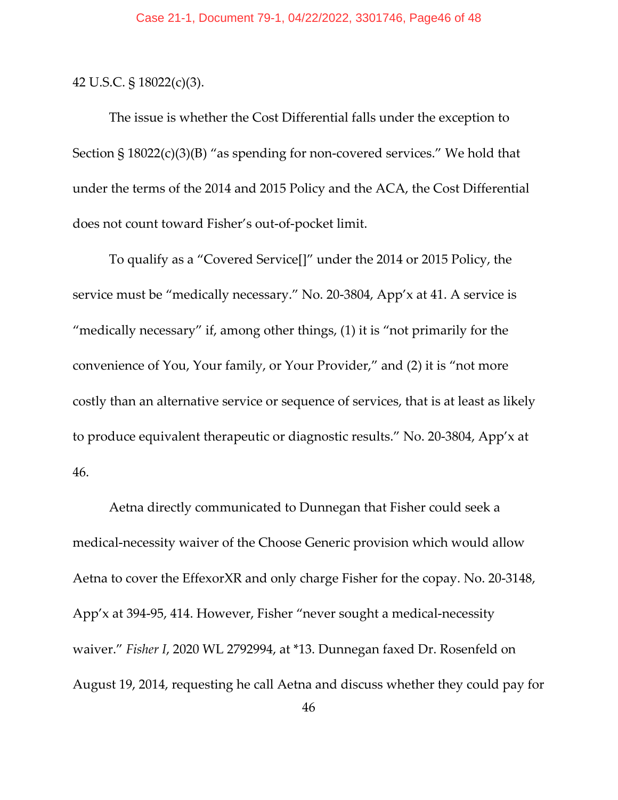#### 42 U.S.C. § 18022(c)(3).

The issue is whether the Cost Differential falls under the exception to Section § 18022(c)(3)(B) "as spending for non-covered services." We hold that under the terms of the 2014 and 2015 Policy and the ACA, the Cost Differential does not count toward Fisher's out-of-pocket limit.

To qualify as a "Covered Service[]" under the 2014 or 2015 Policy, the service must be "medically necessary." No. 20-3804, App'x at 41. A service is "medically necessary" if, among other things, (1) it is "not primarily for the convenience of You, Your family, or Your Provider," and (2) it is "not more costly than an alternative service or sequence of services, that is at least as likely to produce equivalent therapeutic or diagnostic results." No. 20-3804, App'x at 46.

Aetna directly communicated to Dunnegan that Fisher could seek a medical-necessity waiver of the Choose Generic provision which would allow Aetna to cover the EffexorXR and only charge Fisher for the copay. No. 20-3148, App'x at 394-95, 414. However, Fisher "never sought a medical-necessity waiver." *Fisher I*, 2020 WL 2792994, at \*13. Dunnegan faxed Dr. Rosenfeld on August 19, 2014, requesting he call Aetna and discuss whether they could pay for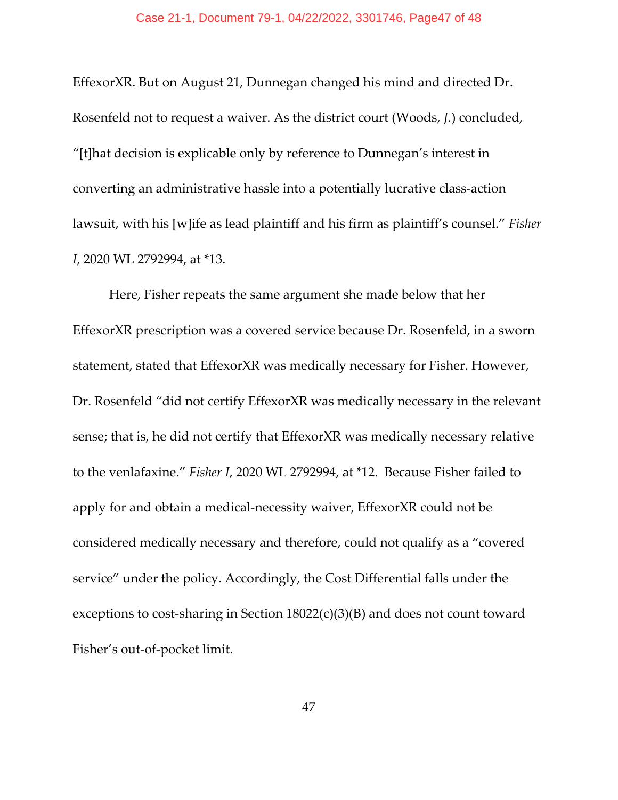EffexorXR. But on August 21, Dunnegan changed his mind and directed Dr. Rosenfeld not to request a waiver. As the district court (Woods, *J.*) concluded, "[t]hat decision is explicable only by reference to Dunnegan's interest in converting an administrative hassle into a potentially lucrative class-action lawsuit, with his [w]ife as lead plaintiff and his firm as plaintiff's counsel." *Fisher I*, 2020 WL 2792994, at \*13.

Here, Fisher repeats the same argument she made below that her EffexorXR prescription was a covered service because Dr. Rosenfeld, in a sworn statement, stated that EffexorXR was medically necessary for Fisher. However, Dr. Rosenfeld "did not certify EffexorXR was medically necessary in the relevant sense; that is, he did not certify that EffexorXR was medically necessary relative to the venlafaxine." *Fisher I*, 2020 WL 2792994, at \*12. Because Fisher failed to apply for and obtain a medical-necessity waiver, EffexorXR could not be considered medically necessary and therefore, could not qualify as a "covered service" under the policy. Accordingly, the Cost Differential falls under the exceptions to cost-sharing in Section 18022(c)(3)(B) and does not count toward Fisher's out-of-pocket limit.